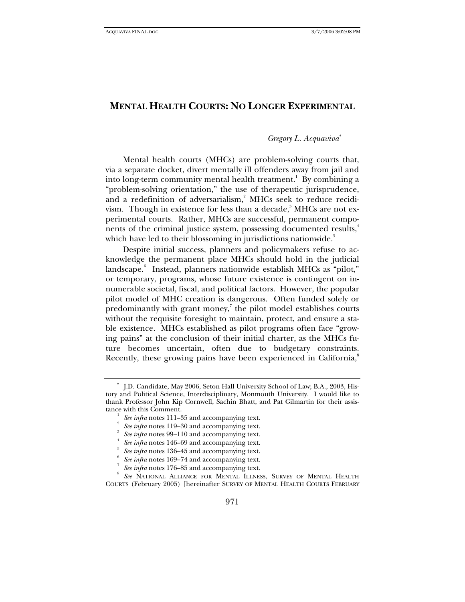# **MENTAL HEALTH COURTS: NO LONGER EXPERIMENTAL**

# *Gregory L. Acquaviva*<sup>∗</sup>

Mental health courts (MHCs) are problem-solving courts that, via a separate docket, divert mentally ill offenders away from jail and into long-term community mental health treatment. $^{\rm 1}$  By combining a "problem-solving orientation," the use of therapeutic jurisprudence, and a redefinition of adversarialism, $^2$  MHCs seek to reduce recidivism. Though in existence for less than a decade, $^{\mathrm{3}}$  MHCs are not experimental courts. Rather, MHCs are successful, permanent components of the criminal justice system, possessing documented results,<sup>4</sup> which have led to their blossoming in jurisdictions nationwide.<sup>5</sup>

Despite initial success, planners and policymakers refuse to acknowledge the permanent place MHCs should hold in the judicial landscape.<sup>6</sup> Instead, planners nationwide establish MHCs as "pilot," or temporary, programs, whose future existence is contingent on innumerable societal, fiscal, and political factors. However, the popular pilot model of MHC creation is dangerous. Often funded solely or predominantly with grant money, $^7$  the pilot model establishes courts without the requisite foresight to maintain, protect, and ensure a stable existence. MHCs established as pilot programs often face "growing pains" at the conclusion of their initial charter, as the MHCs future becomes uncertain, often due to budgetary constraints. Recently, these growing pains have been experienced in California,<sup>8</sup>

<sup>∗</sup> J.D. Candidate, May 2006, Seton Hall University School of Law; B.A., 2003, History and Political Science, Interdisciplinary, Monmouth University. I would like to thank Professor John Kip Cornwell, Sachin Bhatt, and Pat Gilmartin for their assistance with this Comment. 1

See infra notes 111-35 and accompanying text.

See infra notes 119-30 and accompanying text.

See infra notes 99–110 and accompanying text.

See infra notes 146–69 and accompanying text.

See infra notes 136–45 and accompanying text.

See infra notes 169–74 and accompanying text.

See infra notes 176–85 and accompanying text.

*See* NATIONAL ALLIANCE FOR MENTAL ILLNESS, SURVEY OF MENTAL HEALTH COURTS (February 2005) [hereinafter SURVEY OF MENTAL HEALTH COURTS FEBRUARY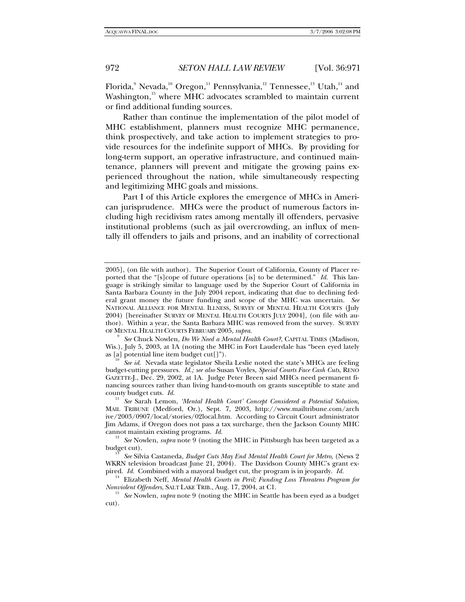Florida, $^{\textrm{s}}$  Nevada, $^{\textrm{10}}$  Oregon, $^{\textrm{11}}$  Pennsylvania, $^{\textrm{12}}$  Tennessee, $^{\textrm{13}}$  Utah, $^{\textrm{14}}$  and Washington, $15$  where MHC advocates scrambled to maintain current or find additional funding sources.

Rather than continue the implementation of the pilot model of MHC establishment, planners must recognize MHC permanence, think prospectively, and take action to implement strategies to provide resources for the indefinite support of MHCs. By providing for long-term support, an operative infrastructure, and continued maintenance, planners will prevent and mitigate the growing pains experienced throughout the nation, while simultaneously respecting and legitimizing MHC goals and missions.

Part I of this Article explores the emergence of MHCs in American jurisprudence. MHCs were the product of numerous factors including high recidivism rates among mentally ill offenders, pervasive institutional problems (such as jail overcrowding, an influx of mentally ill offenders to jails and prisons, and an inability of correctional

 *See* Chuck Nowlen, *Do We Need a Mental Health Court?*, CAPITAL TIMES (Madison, Wis.), July 5, 2003, at 1A (noting the MHC in Fort Lauderdale has "been eyed lately as [a] potential line item budget cut[]"). 10 *See id*. Nevada state legislator Sheila Leslie noted the state's MHCs are feeling

budget-cutting pressures. *Id.; see also* Susan Voyles, *Special Courts Face Cash Cuts*, RENO GAZETTE-J., Dec. 29, 2002, at 1A. Judge Peter Breen said MHCs need permanent financing sources rather than living hand-to-mouth on grants susceptible to state and county budget cuts.  $Id$ .

<sup>11</sup> See Sarah Lemon, *'Mental Health Court' Concept Considered a Potential Solution*, MAIL TRIBUNE (Medford, Or.), Sept. 7, 2003, http://www.mailtribune.com/arch ive/2003/0907/local/stories/02local.htm. According to Circuit Court administrator Jim Adams, if Oregon does not pass a tax surcharge, then the Jackson County MHC cannot maintain existing programs. *Id.* 

<sup>12</sup> See Nowlen, *supra* note 9 (noting the MHC in Pittsburgh has been targeted as a budget cut).

budget cut). 13 *See* Silvia Castaneda, *Budget Cuts May End Mental Health Court for Metro*, (News 2 WKRN television broadcast June 21, 2004). The Davidson County MHC's grant expired. *Id.* Combined with a mayoral budget cut, the program is in jeopardy. *Id.* <sup>14</sup> Elizabeth Neff, *Mental Health Courts in Peril; Funding Loss Threatens Program for* 

*Nonviolent Offenders*, SALT LAKE TRIB., Aug. 17, 2004, at C1.<br><sup>15</sup> *See* Nowlen, *supra* note 9 (noting the MHC in Seattle has been eyed as a budget

cut).

<sup>2005], (</sup>on file with author). The Superior Court of California, County of Placer reported that the "[s]cope of future operations [is] to be determined." *Id.* This language is strikingly similar to language used by the Superior Court of California in Santa Barbara County in the July 2004 report, indicating that due to declining federal grant money the future funding and scope of the MHC was uncertain. *See*  NATIONAL ALLIANCE FOR MENTAL ILLNESS, SURVEY OF MENTAL HEALTH COURTS (July 2004) [hereinafter SURVEY OF MENTAL HEALTH COURTS JULY 2004], (on file with author). Within a year, the Santa Barbara MHC was removed from the survey. SURVEY OF MENTAL HEALTH COURTS FEBRUARY 2005, *supra*. <sup>9</sup>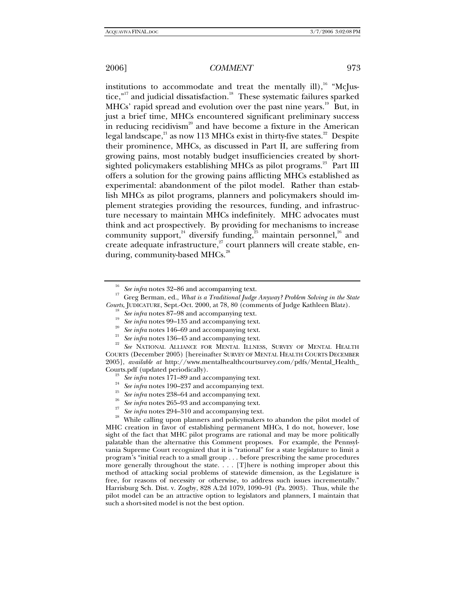institutions to accommodate and treat the mentally ill),  $^{16}$  "McJustice,"<sup>17</sup> and judicial dissatisfaction.<sup>18</sup> These systematic failures sparked MHCs' rapid spread and evolution over the past nine years.<sup>19</sup> But, in just a brief time, MHCs encountered significant preliminary success in reducing recidivism<sup>20</sup> and have become a fixture in the American legal landscape, $2^2$  as now 113 MHCs exist in thirty-five states.<sup>22</sup> Despite their prominence, MHCs, as discussed in Part II, are suffering from growing pains, most notably budget insufficiencies created by shortsighted policymakers establishing MHCs as pilot programs.<sup>23</sup> Part III offers a solution for the growing pains afflicting MHCs established as experimental: abandonment of the pilot model. Rather than establish MHCs as pilot programs, planners and policymakers should implement strategies providing the resources, funding, and infrastructure necessary to maintain MHCs indefinitely. MHC advocates must think and act prospectively. By providing for mechanisms to increase community support,<sup>24</sup> diversify funding, $\frac{25}{5}$  maintain personnel,<sup>26</sup> and create adequate infrastructure,<sup>27</sup> court planners will create stable, enduring, community-based MHCs.<sup>28</sup>

MHC creation in favor of establishing permanent MHCs, I do not, however, lose sight of the fact that MHC pilot programs are rational and may be more politically palatable than the alternative this Comment proposes. For example, the Pennsylvania Supreme Court recognized that it is "rational" for a state legislature to limit a program's "initial reach to a small group . . . before prescribing the same procedures more generally throughout the state. . . . [T]here is nothing improper about this method of attacking social problems of statewide dimension, as the Legislature is free, for reasons of necessity or otherwise, to address such issues incrementally." Harrisburg Sch. Dist. v. Zogby, 828 A.2d 1079, 1090–91 (Pa. 2003). Thus, while the pilot model can be an attractive option to legislators and planners, I maintain that such a short-sited model is not the best option.

<sup>&</sup>lt;sup>16</sup> See infra notes 32–86 and accompanying text.<br><sup>17</sup> Greg Berman, ed., *What is a Traditional Judge Anyway? Problem Solving in the State*<br>*Courts*, JUDICATURE, Sept.-Oct. 2000, at 78, 80 (comments of Judge Kathleen Blatz

<sup>&</sup>lt;sup>18</sup> See infra notes 87–98 and accompanying text.<br><sup>19</sup> See infra notes 99–135 and accompanying text.<br><sup>20</sup> See infra notes 146–69 and accompanying text.<br><sup>21</sup> See infra notes 136–45 and accompanying text.<br><sup>22</sup> See NATIONAL COURTS (December 2005) [hereinafter SURVEY OF MENTAL HEALTH COURTS DECEMBER 2005], *available at* http://www.mentalhealthcourtsurvey.com/pdfs/Mental\_Health\_ Courts.pdf (updated periodically).<br>
<sup>23</sup> See infra notes 171–89 and accompanying text.<br>
<sup>24</sup> See infra notes 190–237 and accompanying text.<br>
<sup>25</sup> See infra notes 238–64 and accompanying text.<br>
<sup>26</sup> See infra notes 265–93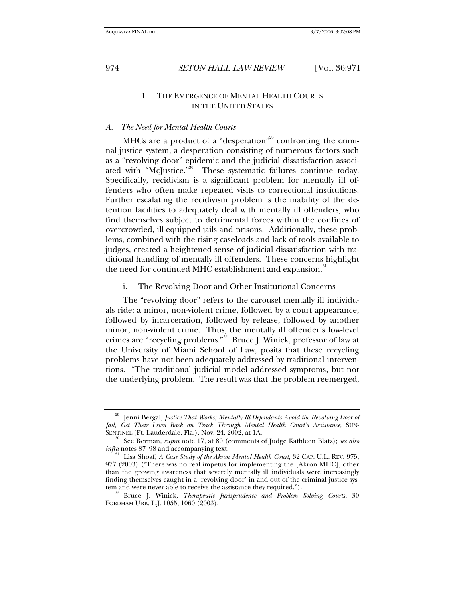# I. THE EMERGENCE OF MENTAL HEALTH COURTS IN THE UNITED STATES

#### *A. The Need for Mental Health Courts*

MHCs are a product of a "desperation"<sup>29</sup> confronting the criminal justice system, a desperation consisting of numerous factors such as a "revolving door" epidemic and the judicial dissatisfaction associated with "McJustice."<sup>30</sup> These systematic failures continue today. Specifically, recidivism is a significant problem for mentally ill offenders who often make repeated visits to correctional institutions. Further escalating the recidivism problem is the inability of the detention facilities to adequately deal with mentally ill offenders, who find themselves subject to detrimental forces within the confines of overcrowded, ill-equipped jails and prisons. Additionally, these problems, combined with the rising caseloads and lack of tools available to judges, created a heightened sense of judicial dissatisfaction with traditional handling of mentally ill offenders. These concerns highlight the need for continued MHC establishment and expansion.<sup>31</sup>

i. The Revolving Door and Other Institutional Concerns

The "revolving door" refers to the carousel mentally ill individuals ride: a minor, non-violent crime, followed by a court appearance, followed by incarceration, followed by release, followed by another minor, non-violent crime. Thus, the mentally ill offender's low-level crimes are "recycling problems."32 Bruce J. Winick, professor of law at the University of Miami School of Law, posits that these recycling problems have not been adequately addressed by traditional interventions. "The traditional judicial model addressed symptoms, but not the underlying problem. The result was that the problem reemerged,

<sup>29</sup> Jenni Bergal, *Justice That Works; Mentally Ill Defendants Avoid the Revolving Door of Jail, Get Their Lives Back on Track Through Mental Health Court's Assistance*, SUN-

SENTINEL (Ft. Lauderdale, Fla.), Nov. 24, 2002, at 1A. <sup>30</sup> See Berman, *supra* note 17, at 80 (comments of Judge Kathleen Blatz); *see also infra* notes 87–98 and accompanying text.<br><sup>31</sup> Lisa Shoaf, *A Case Study of the Akron Mental Health Court*, 32 CAP. U.L. REV. 975,

<sup>977 (2003) (&</sup>quot;There was no real impetus for implementing the [Akron MHC], other than the growing awareness that severely mentally ill individuals were increasingly finding themselves caught in a 'revolving door' in and out of the criminal justice sys-

tem and were never able to receive the assistance they required."). 32 Bruce J. Winick, *Therapeutic Jurisprudence and Problem Solving Courts*, 30 FORDHAM URB. L.J. 1055, 1060 (2003).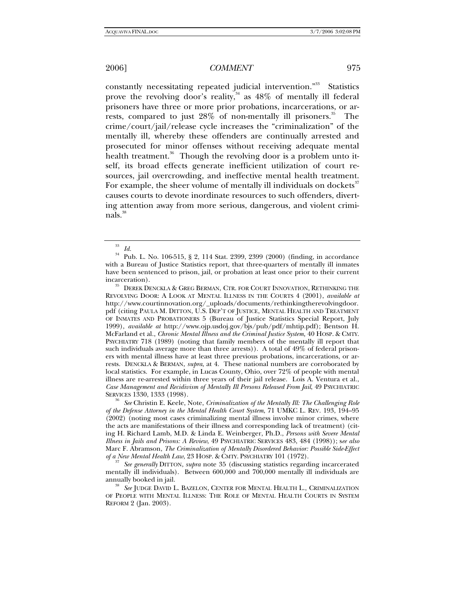constantly necessitating repeated judicial intervention."<sup>33</sup> Statistics prove the revolving door's reality, $34$  as  $48\%$  of mentally ill federal prisoners have three or more prior probations, incarcerations, or arrests, compared to just 28% of non-mentally ill prisoners.<sup>35</sup> The crime/court/jail/release cycle increases the "criminalization" of the mentally ill, whereby these offenders are continually arrested and prosecuted for minor offenses without receiving adequate mental health treatment.<sup>36</sup> Though the revolving door is a problem unto itself, its broad effects generate inefficient utilization of court resources, jail overcrowding, and ineffective mental health treatment. For example, the sheer volume of mentally ill individuals on dockets<sup>37</sup> causes courts to devote inordinate resources to such offenders, diverting attention away from more serious, dangerous, and violent criminals.<sup>38</sup>

incarceration). 35 DEREK DENCKLA & GREG BERMAN, CTR. FOR COURT INNOVATION, RETHINKING THE REVOLVING DOOR: A LOOK AT MENTAL ILLNESS IN THE COURTS 4 (2001), *available at*  http://www.courtinnovation.org/\_uploads/documents/rethinkingtherevolvingdoor. pdf (citing PAULA M. DITTON, U.S. DEP'T OF JUSTICE, MENTAL HEALTH AND TREATMENT OF INMATES AND PROBATIONERS 5 (Bureau of Justice Statistics Special Report, July 1999), *available at* http://www.ojp.usdoj.gov/bjs/pub/pdf/mhtip.pdf); Bentson H. McFarland et al., *Chronic Mental Illness and the Criminal Justice System,* 40 HOSP. & CMTY. PSYCHIATRY 718 (1989) (noting that family members of the mentally ill report that such individuals average more than three arrests)). A total of 49% of federal prisoners with mental illness have at least three previous probations, incarcerations, or arrests. DENCKLA & BERMAN, *supra*, at 4. These national numbers are corroborated by local statistics. For example, in Lucas County, Ohio, over 72% of people with mental illness are re-arrested within three years of their jail release. Lois A. Ventura et al., *Case Management and Recidivism of Mentally Ill Persons Released From Jail*, 49 PSYCHIATRIC SERVICES 1330, 1333 (1998). 36 *See* Christin E. Keele, Note, *Criminalization of the Mentally Ill: The Challenging Role* 

*of the Defense Attorney in the Mental Health Court System*, 71 UMKC L. REV. 193, 194–95 (2002) (noting most cases criminalizing mental illness involve minor crimes, where the acts are manifestations of their illness and corresponding lack of treatment) (citing H. Richard Lamb, M.D. & Linda E. Weinberger, Ph.D., *Persons with Severe Mental Illness in Jails and Prisons: A Review*, 49 PSYCHIATRIC SERVICES 483, 484 (1998)); s*ee also* Marc F. Abramson, *The Criminalization of Mentally Disordered Behavior: Possible Side-Effect* 

*See generally DITTON, supra note 35 (discussing statistics regarding incarcerated* mentally ill individuals). Between 600,000 and 700,000 mentally ill individuals are

<sup>38</sup> See JUDGE DAVID L. BAZELON, CENTER FOR MENTAL HEALTH L., CRIMINALIZATION OF PEOPLE WITH MENTAL ILLNESS: THE ROLE OF MENTAL HEALTH COURTS IN SYSTEM REFORM 2 (Jan. 2003).

 $rac{33}{34}$  *Id.* 

<sup>34</sup> Pub. L. No. 106-515, § 2, 114 Stat. 2399, 2399 (2000) (finding, in accordance with a Bureau of Justice Statistics report, that three-quarters of mentally ill inmates have been sentenced to prison, jail, or probation at least once prior to their current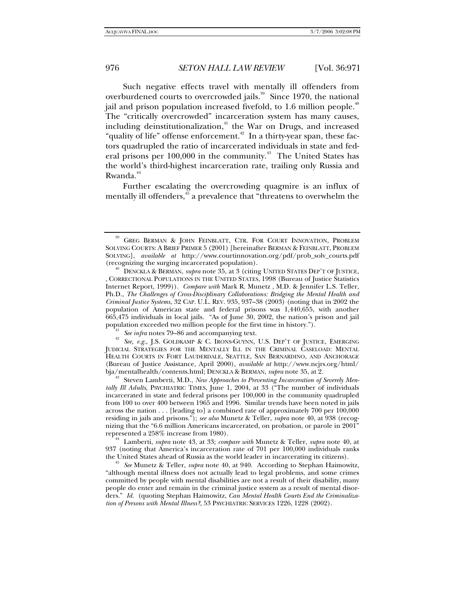Such negative effects travel with mentally ill offenders from overburdened courts to overcrowded jails. $39$  Since 1970, the national jail and prison population increased fivefold, to 1.6 million people.<sup>40</sup> The "critically overcrowded" incarceration system has many causes, including deinstitutionalization,<sup>41</sup> the War on Drugs, and increased "quality of life" offense enforcement.<sup>42</sup> In a thirty-year span, these factors quadrupled the ratio of incarcerated individuals in state and federal prisons per 100,000 in the community.<sup>43</sup> The United States has the world's third-highest incarceration rate, trailing only Russia and Rwanda.<sup>44</sup>

Further escalating the overcrowding quagmire is an influx of mentally ill offenders,<sup>45</sup> a prevalence that "threatens to overwhelm the

<sup>41</sup> See infra notes 79–86 and accompanying text.<br><sup>42</sup> See, e.g., J.S. GOLDKAMP & C. IRONS-GUYNN, U.S. DEP'T OF JUSTICE, EMERGING JUDICIAL STRATEGIES FOR THE MENTALLY ILL IN THE CRIMINAL CASELOAD: MENTAL HEALTH COURTS IN FORT LAUDERDALE, SEATTLE, SAN BERNARDINO, AND ANCHORAGE (Bureau of Justice Assistance, April 2000), *available at* http://www.ncjrs.org/html/

Steven Lamberti, M.D., *New Approaches to Preventing Incarceration of Severely Men*tally Ill Adults, PSYCHIATRIC TIMES, June 1, 2004, at 33 ("The number of individuals incarcerated in state and federal prisons per 100,000 in the community quadrupled from 100 to over 400 between 1965 and 1996. Similar trends have been noted in jails across the nation . . . [leading to] a combined rate of approximately 700 per 100,000 residing in jails and prisons."); *see also* Munetz & Teller, *supra* note 40, at 938 (recognizing that the "6.6 million Americans incarcerated, on probation, or parole in 2001"<br>represented a 258% increase from 1980).

Lamberti, *supra* note 43, at 33; *compare with Munetz & Teller, supra* note 40, at 937 (noting that America's incarceration rate of 701 per 100,000 individuals ranks

the United States ahead of Russia as the world leader in incarcerating its citizens). 45 *See* Munetz & Teller, *supra* note 40, at 940. According to Stephan Haimowitz, "although mental illness does not actually lead to legal problems, and some crimes committed by people with mental disabilities are not a result of their disability, many people do enter and remain in the criminal justice system as a result of mental disorders." *Id.* (quoting Stephan Haimowitz, *Can Mental Health Courts End the Criminalization of Persons with Mental Illness?*, 53 PSYCHIATRIC SERVICES 1226, 1228 (2002).

<sup>39</sup> GREG BERMAN & JOHN FEINBLATT, CTR. FOR COURT INNOVATION, PROBLEM SOLVING COURTS: A BRIEF PRIMER 5 (2001) [hereinafter BERMAN & FEINBLATT, PROBLEM SOLVING], *available at* http://www.courtinnovation.org/pdf/prob\_solv\_courts.pdf

DENCKLA & BERMAN, *supra* note 35, at 3 (citing UNITED STATES DEP'T OF JUSTICE, , CORRECTIONAL POPULATIONS IN THE UNITED STATES, 1998 (Bureau of Justice Statistics Internet Report, 1999)). *Compare with* Mark R. Munetz , M.D. & Jennifer L.S. Teller, Ph.D., *The Challenges of Cross-Disciplinary Collaborations: Bridging the Mental Health and Criminal Justice Systems*, 32 CAP. U.L. REV. 935, 937–38 (2003) (noting that in 2002 the population of American state and federal prisons was 1,440,655, with another 665,475 individuals in local jails. "As of June 30, 2002, the nation's prison and jail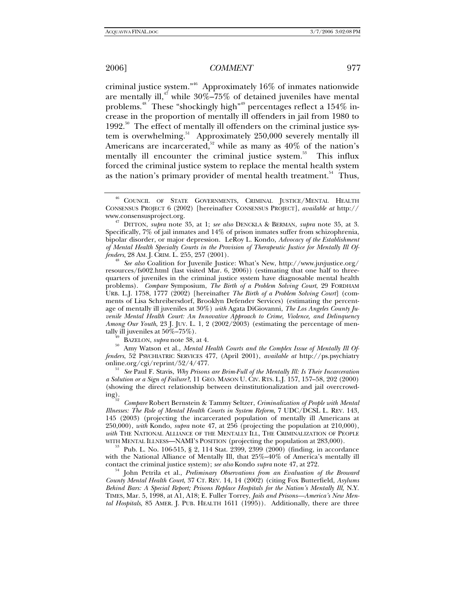criminal justice system."46 Approximately 16% of inmates nationwide are mentally ill,<sup>47</sup> while  $30\% - 75\%$  of detained juveniles have mental problems.<sup>48</sup> These "shockingly high"<sup>49</sup> percentages reflect a 154% increase in the proportion of mentally ill offenders in jail from 1980 to  $1992$ <sup>50</sup>. The effect of mentally ill offenders on the criminal justice system is overwhelming.<sup>51</sup> Approximately 250,000 severely mentally ill Americans are incarcerated, $52$  while as many as 40% of the nation's mentally ill encounter the criminal justice system.<sup>53</sup> This influx forced the criminal justice system to replace the mental health system as the nation's primary provider of mental health treatment.<sup>54</sup> Thus,

<sup>49</sup> BAZELON, *supra* note 38, at 4.<br><sup>50</sup> Amy Watson et al., *Mental Health Courts and the Complex Issue of Mentally Ill Offenders*, 52 PSYCHIATRIC SERVICES 477, (April 2001), *available at* http://ps.psychiatry

<sup>51</sup> See Paul F. Stavis, *Why Prisons are Brim-Full of the Mentally Ill: Is Their Incarceration a Solution or a Sign of Failure?*, 11 GEO. MASON U. CIV. RTS. L.J. 157, 157–58, 202 (2000) (showing the direct relationship between deinstitutionalization and jail overcrowd-

ing). 52 *Compare* Robert Bernstein & Tammy Seltzer, *Criminalization of People with Mental Illnesses: The Role of Mental Health Courts in System Reform*, 7 UDC/DCSL L. REV. 143, 145 (2003) (projecting the incarcerated population of mentally ill Americans at 250,000), *with* Kondo, *supra* note 47, at 256 (projecting the population at 210,000), *with* THE NATIONAL ALLIANCE OF THE MENTALLY ILL, THE CRIMINALIZATION OF PEOPLE WITH MENTAL ILLNESS—NAMI'S POSITION (projecting the population at 283,000).<br><sup>53</sup> Pub. L. No. 106-515, § 2, 114 Stat. 2399, 2399 (2000) (finding, in accordance

with the National Alliance of Mentally Ill, that 25%–40% of America's mentally ill contact the criminal justice system); *see also* Kondo *supra* note 47, at 272.<br><sup>54</sup> John Petrila et al., *Preliminary Observations from an Evaluation of the Broward* 

*County Mental Health Court*, 37 CT. REV. 14, 14 (2002) (citing Fox Butterfield, *Asylums*  Behind Bars: A Special Report; Prisons Replace Hospitals for the Nation's Mentally Ill, N.Y. TIMES, Mar. 5, 1998, at A1, A18; E. Fuller Torrey, *Jails and Prisons—America's New Mental Hospitals,* 85 AMER. J. PUB. HEALTH 1611 (1995)). Additionally, there are three

 $^{46}$  COUNCIL OF STATE GOVERNMENTS, CRIMINAL JUSTICE/MENTAL HEALTH CONSENSUS PROJECT 6 (2002) [hereinafter CONSENSUS PROJECT], *available at* http://

www.consensusproject.org. 47 DITTON, *supra* note 35, at 1; *see also* DENCKLA & BERMAN, *supra* note 35, at 3. Specifically, 7% of jail inmates and 14% of prison inmates suffer from schizophrenia, bipolar disorder, or major depression. LeRoy L. Kondo, *Advocacy of the Establishment of Mental Health Specialty Courts in the Provision of Therapeutic Justice for Mentally Ill Of-*

*See also* Coalition for Juvenile Justice: What's New, http://www.juvjustice.org/ resources/fs002.html (last visited Mar. 6, 2006)) (estimating that one half to threequarters of juveniles in the criminal justice system have diagnosable mental health problems). *Compare* Symposium, *The Birth of a Problem Solving Court*, 29 FORDHAM URB. L.J. 1758, 1777 (2002) [hereinafter *The Birth of a Problem Solving Court*] (comments of Lisa Schreibersdorf, Brooklyn Defender Services) (estimating the percentage of mentally ill juveniles at 30%) *with* Agata DiGiovanni, *The Los Angeles County Juvenile Mental Health Court: An Innovative Approach to Crime, Violence, and Delinquency Among Our Youth*, 23 J. JUV. L. 1, 2 (2002/2003) (estimating the percentage of mentally ill juveniles at 50%–75%).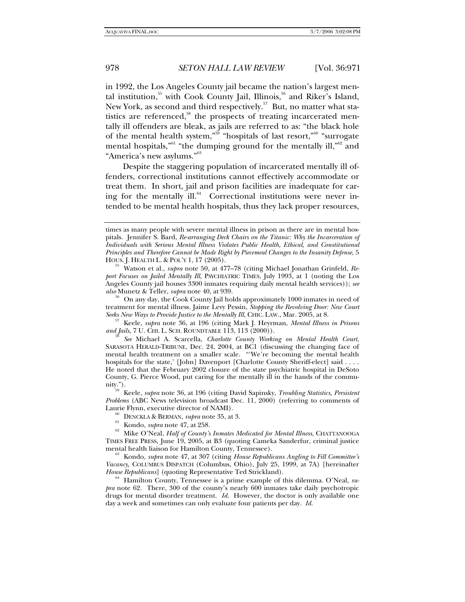in 1992, the Los Angeles County jail became the nation's largest mental institution,<sup>55</sup> with Cook County Jail, Illinois,<sup>56</sup> and Riker's Island, New York, as second and third respectively.<sup>57</sup> But, no matter what statistics are referenced, $58$  the prospects of treating incarcerated mentally ill offenders are bleak, as jails are referred to as: "the black hole of the mental health system,"<sup>59</sup> "hospitals of last resort,"<sup>60</sup> "surrogate mental hospitals,<sup>"61</sup> "the dumping ground for the mentally ill,"<sup>62</sup> and "America's new asylums."<sup>63</sup>

Despite the staggering population of incarcerated mentally ill offenders, correctional institutions cannot effectively accommodate or treat them. In short, jail and prison facilities are inadequate for caring for the mentally ill.<sup>64</sup> Correctional institutions were never intended to be mental health hospitals, thus they lack proper resources,

<sup>57</sup> Keele, *supra* note 36, at 196 (citing Mark J. Heyrman, *Mental Illness in Prisons and Jails*, 7 U. CHI. L. SCH. ROUNDTABLE 113, 113 (2000)).

nity."). 59 Keele, *supra* note 36, at 196 (citing David Sapinsky, *Troubling Statistics, Persistent Problems* (ABC News television broadcast Dec. 11, 2000) (referring to comments of Laurie Flynn, executive director of NAMI).<br><sup>60</sup> DENCKLA & BERMAN, *supra* note 35, at 3.<br><sup>61</sup> Kondo, *supra* note 47, at 258.<br><sup>62</sup> Mike O'Neal, *Half of County's Inmates Medicated for Mental Illness*, CHATTANOOGA

*Vacancy, COLUMBUS DISPATCH (Columbus, Ohio), July 25, 1999, at 7A) [hereinafter House Republicans] (quoting Representative Ted Strickland).* 

*Hamilton County, Tennessee is a prime example of this dilemma. O'Neal, supra* note 62. There, 300 of the county's nearly 600 inmates take daily psychotropic drugs for mental disorder treatment. *Id.* However, the doctor is only available one day a week and sometimes can only evaluate four patients per day. *Id.*

times as many people with severe mental illness in prison as there are in mental hospitals. Jennifer S. Bard, *Re-arranging Deck Chairs on the Titanic: Why the Incarceration of Individuals with Serious Mental Illness Violates Public Health, Ethical, and Constitutional Principles and Therefore Cannot be Made Right by Piecemeal Changes to the Insanity Defense*, 5

 $^{55}$  Watson et al., *supra* note 50, at 477–78 (citing Michael Jonathan Grinfeld, *Report Focuses on Jailed Mentally Ill*, PSYCHIATRIC TIMES, July 1993, at 1 (noting the Los Angeles County jail houses 3300 inmates requiring daily mental health services)); *see also* Munetz & Teller, *supra* note 40, at 939.<br><sup>56</sup> On any day, the Cook County Jail holds approximately 1000 inmates in need of

treatment for mental illness. Jaime Levy Pessin, *Stopping the Revolving Door: New Court* 

*See* Michael A. Scarcella, *Charlotte County Working on Mental Health Court*, SARASOTA HERALD-TRIBUNE, Dec. 24, 2004, at BC1 (discussing the changing face of mental health treatment on a smaller scale. "'We're becoming the mental health hospitals for the state,' [John] Davenport [Charlotte County Sheriff-elect] said . . . . He noted that the February 2002 closure of the state psychiatric hospital in DeSoto County, G. Pierce Wood, put caring for the mentally ill in the hands of the commu-<br>nity.").

TIMES FREE PRESS, June 19, 2005, at B3 (quoting Cameka Sanderfur, criminal justice mental health liaison for Hamilton County, Tennessee). 63 Kondo, *supra* note 47, at 307 (citing *House Republicans Angling to Fill Committee's*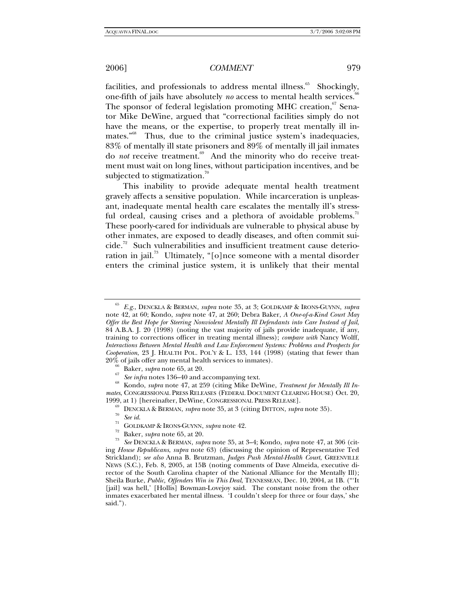facilities, and professionals to address mental illness.<sup>65</sup> Shockingly, one-fifth of jails have absolutely *no* access to mental health services.<sup>6</sup> The sponsor of federal legislation promoting MHC creation,<sup>67</sup> Senator Mike DeWine, argued that "correctional facilities simply do not have the means, or the expertise, to properly treat mentally ill inmates."<sup>68</sup> Thus, due to the criminal justice system's inadequacies, 83% of mentally ill state prisoners and 89% of mentally ill jail inmates do *not* receive treatment.<sup>69</sup> And the minority who do receive treatment must wait on long lines, without participation incentives, and be subjected to stigmatization.<sup>7</sup>

This inability to provide adequate mental health treatment gravely affects a sensitive population. While incarceration is unpleasant, inadequate mental health care escalates the mentally ill's stressful ordeal, causing crises and a plethora of avoidable problems.<sup>71</sup> These poorly-cared for individuals are vulnerable to physical abuse by other inmates, are exposed to deadly diseases, and often commit sui $cide.<sup>72</sup>$  Such vulnerabilities and insufficient treatment cause deterioration in jail.<sup>73</sup> Ultimately, "[o]nce someone with a mental disorder enters the criminal justice system, it is unlikely that their mental

<sup>65</sup> *E.g.*, DENCKLA & BERMAN, *supra* note 35, at 3; GOLDKAMP & IRONS-GUYNN, *supra*  note 42, at 60; Kondo, *supra* note 47, at 260; Debra Baker, *A One-of-a-Kind Court May Offer the Best Hope for Steering Nonviolent Mentally Ill Defendants into Care Instead of Jail*, 84 A.B.A. J. 20 (1998) (noting the vast majority of jails provide inadequate, if any, training to corrections officer in treating mental illness); *compare with* Nancy Wolff, *Interactions Between Mental Health and Law Enforcement Systems: Problems and Prospects for Cooperation*, 23 J. HEALTH POL. POL'Y & L. 133, 144 (1998) (stating that fewer than

<sup>20%</sup> of jails offer any mental health services to inmates).<br>
<sup>66</sup> Baker, *supra* note 65, at 20.<br>
<sup>67</sup> *See infra* notes 136–40 and accompanying text.<br>
<sup>68</sup> Kondo, *supra* note 47, at 259 (citing Mike DeWine, *Treatment fo mates*, CONGRESSIONAL PRESS RELEASES (FEDERAL DOCUMENT CLEARING HOUSE) Oct. 20,

<sup>1999,</sup> at 1) [hereinafter, DeWine, CONGRESSIONAL PRESS RELEASE].<br>
<sup>69</sup> DENCKLA & BERMAN, *supra* note 35, at 3 (citing DITTON, *supra* note 35).<br>
<sup>70</sup> See id.<br>
<sup>71</sup> GOLDKAMP & IRONS-GUYNN, *supra* note 42.<br>
<sup>72</sup> Baker, *su* ing *House Republicans*, *supra* note 63) (discussing the opinion of Representative Ted Strickland); *see also* Anna B. Brutzman, *Judges Push Mental-Health Court*, GREENVILLE NEWS (S.C.), Feb. 8, 2005, at 15B (noting comments of Dave Almeida, executive director of the South Carolina chapter of the National Alliance for the Mentally Ill); Sheila Burke, *Public, Offenders Win in This Deal*, TENNESSEAN, Dec. 10, 2004, at 1B. ("'It [jail] was hell,' [Hollis] Bowman-Lovejoy said. The constant noise from the other inmates exacerbated her mental illness. 'I couldn't sleep for three or four days,' she said.").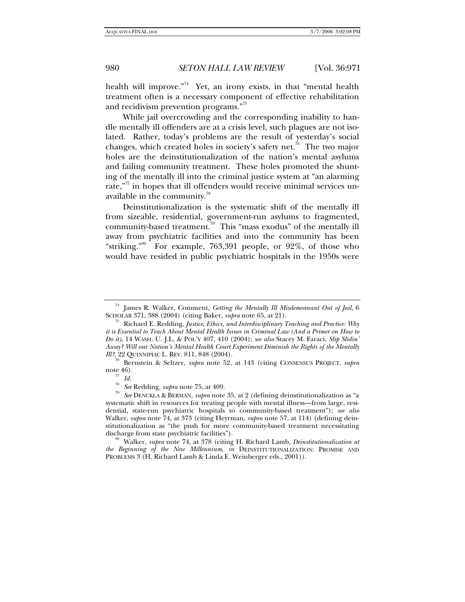health will improve."<sup>74</sup> Yet, an irony exists, in that "mental health treatment often is a necessary component of effective rehabilitation and recidivism prevention programs."<sup>15</sup>

While jail overcrowding and the corresponding inability to handle mentally ill offenders are at a crisis level, such plagues are not isolated. Rather, today's problems are the result of yesterday's social changes, which created holes in society's safety net.<sup>76</sup> The two major holes are the deinstitutionalization of the nation's mental asylums and failing community treatment. These holes promoted the shunting of the mentally ill into the criminal justice system at "an alarming rate, $\frac{1}{n}$  in hopes that ill offenders would receive minimal services unavailable in the community.<sup>78</sup>

Deinstitutionalization is the systematic shift of the mentally ill from sizeable, residential, government-run asylums to fragmented, community-based treatment.<sup>79</sup> This "mass exodus" of the mentally ill away from psychiatric facilities and into the community has been "striking."<sup>80</sup> For example, 763,391 people, or  $92\%$ , of those who would have resided in public psychiatric hospitals in the 1950s were

<sup>80</sup> Walker, *supra* note 74, at 378 (citing H. Richard Lamb, *Deinstitutionalization at the Beginning of the New Millennium*, *in* DEINSTITUTIONALIZATION: PROMISE AND PROBLEMS 3 (H. Richard Lamb & Linda E. Weinberger eds., 2001)).

<sup>&</sup>lt;sup>74</sup> James R. Walker, Comment, *Getting the Mentally Ill Misdemeanant Out of Jail*, 6<br>SCHOLAR 371, 388 (2004) (citing Baker, *supra* note 65, at 21).

<sup>&</sup>lt;sup>75</sup> Richard E. Redding, *Justice, Ethics, and Interdisciplinary Teaching and Practice: Why it is Essential to Teach About Mental Health Issues in Criminal Law (And a Primer on How to Do it)*, 14 WASH. U. J.L. & POL'Y 407, 410 (2004); *see also* Stacey M. Faraci, *Slip Slidin' Away? Will our Nation's Mental Health Court Experiment Diminish the Rights of the Mentally* 

<sup>&</sup>lt;sup>6</sup> Bernstein & Seltzer, *supra* note 52, at 143 (citing CONSENSUS PROJECT, *supra* note 46).<br> $rac{77}{78}$  *Id.* 

<sup>78</sup> *See* Redding, *supra* note 75, at 409. 79 *See* DENCKLA & BERMAN, *supra* note 35, at 2 (defining deinstitutionalization as "a systematic shift in resources for treating people with mental illness—from large, residential, state-run psychiatric hospitals to community-based treatment"); *see also* Walker, *supra* note 74, at 373 (citing Heyrman, *supra* note 57, at 114) (defining deinstitutionalization as "the push for more community-based treatment necessitating discharge from state psychiatric facilities").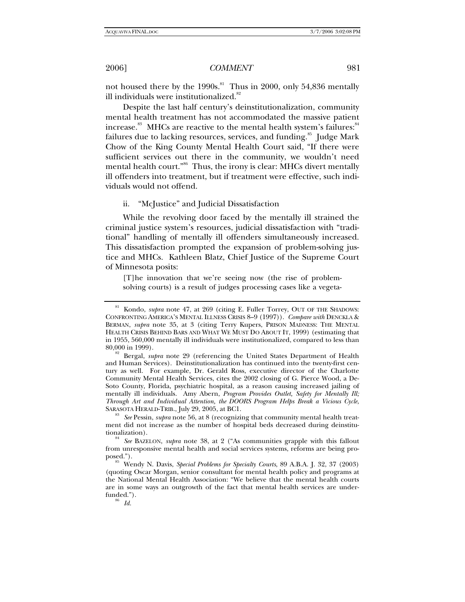not housed there by the  $1990s$ .<sup>81</sup> Thus in 2000, only 54,836 mentally ill individuals were institutionalized.<sup>82</sup>

Despite the last half century's deinstitutionalization, community mental health treatment has not accommodated the massive patient increase.<sup>83</sup> MHCs are reactive to the mental health system's failures: $84$ failures due to lacking resources, services, and funding.<sup>85</sup> Judge Mark Chow of the King County Mental Health Court said, "If there were sufficient services out there in the community, we wouldn't need mental health court."<sup>86</sup> Thus, the irony is clear: MHCs divert mentally ill offenders into treatment, but if treatment were effective, such individuals would not offend.

#### ii. "McJustice" and Judicial Dissatisfaction

While the revolving door faced by the mentally ill strained the criminal justice system's resources, judicial dissatisfaction with "traditional" handling of mentally ill offenders simultaneously increased. This dissatisfaction prompted the expansion of problem-solving justice and MHCs. Kathleen Blatz, Chief Justice of the Supreme Court of Minnesota posits:

[T]he innovation that we're seeing now (the rise of problemsolving courts) is a result of judges processing cases like a vegeta-

<sup>83</sup> See Pessin, *supra* note 56, at 8 (recognizing that community mental health treatment did not increase as the number of hospital beds decreased during deinstitu-

<sup>&</sup>lt;sup>81</sup> Kondo, *supra* note 47, at 269 (citing E. Fuller Torrey, OUT OF THE SHADOWS: CONFRONTING AMERICA'S MENTAL ILLNESS CRISIS 8–9 (1997)). *Compare with* DENCKLA & BERMAN, *supra* note 35, at 3 (citing Terry Kupers, PRISON MADNESS: THE MENTAL HEALTH CRISIS BEHIND BARS AND WHAT WE MUST DO ABOUT IT, 1999) (estimating that in 1955, 560,000 mentally ill individuals were institutionalized, compared to less than

Bergal, *supra* note 29 (referencing the United States Department of Health and Human Services). Deinstitutionalization has continued into the twenty-first century as well. For example, Dr. Gerald Ross, executive director of the Charlotte Community Mental Health Services, cites the 2002 closing of G. Pierce Wood, a De-Soto County, Florida, psychiatric hospital, as a reason causing increased jailing of mentally ill individuals. Amy Abern, *Program Provides Outlet, Safety for Mentally Ill; Through Art and Individual Attention, the DOORS Program Helps Break a Vicious Cycle*,

tionalization). 84 *See* BAZELON, *supra* note 38, at 2 ("As communities grapple with this fallout from unresponsive mental health and social services systems, reforms are being pro-

posed."). 85 Wendy N. Davis, *Special Problems for Specialty Courts*, 89 A.B.A. J. 32, 37 (2003) (quoting Oscar Morgan, senior consultant for mental health policy and programs at the National Mental Health Association: "We believe that the mental health courts are in some ways an outgrowth of the fact that mental health services are underfunded.").<br> $\frac{86}{6}$  *Id.*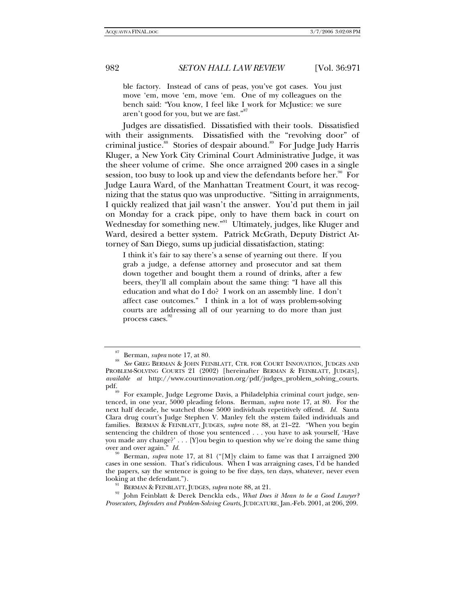ble factory. Instead of cans of peas, you've got cases. You just move 'em, move 'em, move 'em. One of my colleagues on the bench said: "You know, I feel like I work for McJustice: we sure aren't good for you, but we are fast."

Judges are dissatisfied. Dissatisfied with their tools. Dissatisfied with their assignments. Dissatisfied with the "revolving door" of criminal justice.<sup>88</sup> Stories of despair abound.<sup>89</sup> For Judge Judy Harris Kluger, a New York City Criminal Court Administrative Judge, it was the sheer volume of crime. She once arraigned 200 cases in a single session, too busy to look up and view the defendants before her.<sup>90</sup> For Judge Laura Ward, of the Manhattan Treatment Court, it was recognizing that the status quo was unproductive. "Sitting in arraignments, I quickly realized that jail wasn't the answer. You'd put them in jail on Monday for a crack pipe, only to have them back in court on Wednesday for something new."<sup>91</sup> Ultimately, judges, like Kluger and Ward, desired a better system. Patrick McGrath, Deputy District Attorney of San Diego, sums up judicial dissatisfaction, stating:

I think it's fair to say there's a sense of yearning out there. If you grab a judge, a defense attorney and prosecutor and sat them down together and bought them a round of drinks, after a few beers, they'll all complain about the same thing: "I have all this education and what do I do? I work on an assembly line. I don't affect case outcomes." I think in a lot of ways problem-solving courts are addressing all of our yearning to do more than just process cases.

<sup>&</sup>lt;sup>87</sup> Berman, *supra* note 17, at 80.<br><sup>88</sup> See GREG BERMAN & JOHN FEINBLATT, CTR. FOR COURT INNOVATION, JUDGES AND PROBLEM-SOLVING COURTS 21 (2002) [hereinafter BERMAN & FEINBLATT, JUDGES], *available at* http://www.courtinnovation.org/pdf/judges\_problem\_solving\_courts.

For example, Judge Legrome Davis, a Philadelphia criminal court judge, sentenced, in one year, 5000 pleading felons. Berman, *supra* note 17, at 80. For the next half decade, he watched those 5000 individuals repetitively offend. *Id.* Santa Clara drug court's Judge Stephen V. Manley felt the system failed individuals and families. BERMAN & FEINBLATT, JUDGES, *supra* note 88, at 21–22. "When you begin sentencing the children of those you sentenced . . . you have to ask yourself, 'Have you made any change?' . . . [Y] ou begin to question why we're doing the same thing over and over again."  $Id$ .

Berman, *supra* note 17, at 81 ("[M]y claim to fame was that I arraigned 200 cases in one session. That's ridiculous. When I was arraigning cases, I'd be handed the papers, say the sentence is going to be five days, ten days, whatever, never even

looking at the defendant.").<br><sup>91</sup> BERMAN & FEINBLATT, JUDGES, *supra* note 88, at 21.<br><sup>92</sup> John Feinblatt & Derek Denckla eds., *What Does it Mean to be a Good Lawyer*? *Prosecutors, Defenders and Problem-Solving Courts*, JUDICATURE, Jan.-Feb. 2001, at 206, 209.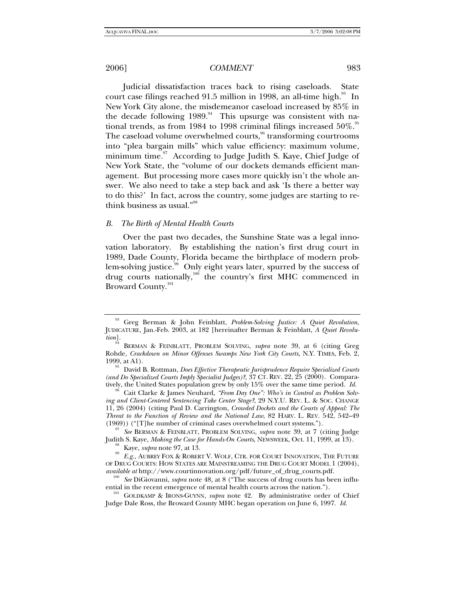Judicial dissatisfaction traces back to rising caseloads. State court case filings reached 91.5 million in 1998, an all-time high. $^{93}$  In New York City alone, the misdemeanor caseload increased by 85% in the decade following 1989.<sup>94</sup> This upsurge was consistent with national trends, as from 1984 to 1998 criminal filings increased  $50\%$ .<sup>95</sup> The caseload volume overwhelmed courts,<sup>96</sup> transforming courtrooms into "plea bargain mills" which value efficiency: maximum volume, minimum time. $97$  According to Judge Judith S. Kaye, Chief Judge of New York State, the "volume of our dockets demands efficient management. But processing more cases more quickly isn't the whole answer. We also need to take a step back and ask 'Is there a better way to do this?' In fact, across the country, some judges are starting to rethink business as usual."<sup>98</sup>

#### *B. The Birth of Mental Health Courts*

Over the past two decades, the Sunshine State was a legal innovation laboratory. By establishing the nation's first drug court in 1989, Dade County, Florida became the birthplace of modern problem-solving justice.<sup>99</sup> Only eight years later, spurred by the success of drug courts nationally,<sup>100</sup> the country's first MHC commenced in Broward County.<sup>101</sup>

Judith S. Kaye, *Making the Case for Hands-On Courts*, NEWSWEEK, Oct. 11, 1999, at 13).<br><sup>98</sup> Kaye, *supra* note 97, at 13.<br>*E.g.*, AUBREY FOX & ROBERT V. WOLF, CTR. FOR COURT INNOVATION, THE FUTURE

<sup>93</sup> Greg Berman & John Feinblatt, *Problem-Solving Justice: A Quiet Revolution*, JUDICATURE, Jan.-Feb. 2003, at 182 [hereinafter Berman & Feinblatt, *A Quiet Revolution*].

BERMAN & FEINBLATT, PROBLEM SOLVING, *supra* note 39, at 6 (citing Greg Rohde, *Crackdown on Minor Offenses Swamps New York City Courts,* N.Y. TIMES, Feb. 2, 1999, at A1). 95 David B. Rottman, *Does Effective Therapeutic Jurisprudence Require Specialized Courts* 

*<sup>(</sup>and Do Specialized Courts Imply Specialist Judges)?*, 37 CT. REV. 22, 25 (2000). Comparatively, the United States population grew by only 15% over the same time period. *Id.* <sup>96</sup> Cait Clarke & James Neuhard, *"From Day One": Who's in Control as Problem Solv-*

*ing and Client-Centered Sentencing Take Center Stage?*, 29 N.Y.U. REV. L. & SOC. CHANGE 11, 26 (2004) (citing Paul D. Carrington, *Crowded Dockets and the Courts of Appeal: The Threat to the Function of Review and the National Law*, 82 HARV. L. REV. 542, 542–49 (1969)) ("[T]he number of criminal cases overwhelmed court systems."). 97 *See* BERMAN & FEINBLATT, PROBLEM SOLVING, *supra* note 39, at 7 (citing Judge

OF DRUG COURTS: HOW STATES ARE MAINSTREAMING THE DRUG COURT MODEL 1 (2004), *available at* http://www.courtinnovation.org/pdf/future\_of\_drug\_courts.pdf. 100 *See* DiGiovanni, *supra* note 48, at 8 ("The success of drug courts has been influ-

ential in the recent emergence of mental health courts across the nation.").<br><sup>101</sup> GOLDKAMP & IRONS-GUYNN, *supra* note 42. By administrative order of Chief

Judge Dale Ross, the Broward County MHC began operation on June 6, 1997. *Id.*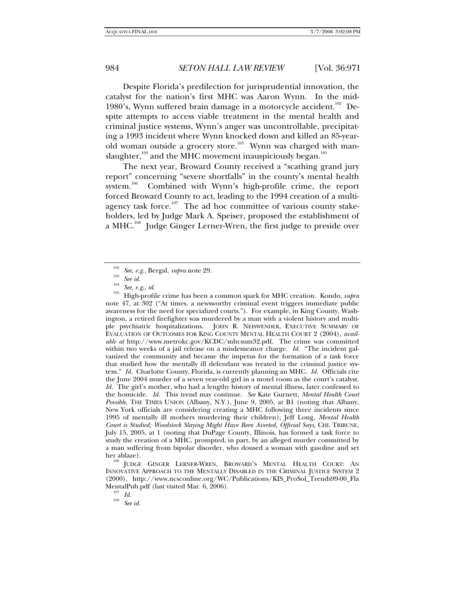Despite Florida's predilection for jurisprudential innovation, the catalyst for the nation's first MHC was Aaron Wynn. In the mid-1980's, Wynn suffered brain damage in a motorcycle accident.<sup>102</sup> Despite attempts to access viable treatment in the mental health and criminal justice systems, Wynn's anger was uncontrollable, precipitating a 1993 incident where Wynn knocked down and killed an 85-yearold woman outside a grocery store.<sup>103</sup> Wynn was charged with manslaughter,  $104$  and the MHC movement inauspiciously began.<sup>105</sup>

The next year, Broward County received a "scathing grand jury report" concerning "severe shortfalls" in the county's mental health system.<sup>106</sup> Combined with Wynn's high-profile crime, the report forced Broward County to act, leading to the 1994 creation of a multiagency task force.<sup>107</sup> The ad hoc committee of various county stakeholders, led by Judge Mark A. Speiser, proposed the establishment of a MHC.<sup>108</sup> Judge Ginger Lerner-Wren, the first judge to preside over

<sup>102</sup> *See, e.g*., Bergal, *supra* note 29. 103 *See id.* <sup>104</sup> *See, e.g*., *id.* 105 High-profile crime has been a common spark for MHC creation. Kondo, *supra*  note 47, at 302 ("At times, a newsworthy criminal event triggers immediate public awareness for the need for specialized courts."). For example, in King County, Washington, a retired firefighter was murdered by a man with a violent history and multiple psychiatric hospitalizations. JOHN R. NEISWENDER, EXECUTIVE SUMMARY OF EVALUATION OF OUTCOMES FOR KING COUNTY MENTAL HEALTH COURT 2 (2004), *available at* http://www.metrokc.gov/KCDC/mhcsum32.pdf. The crime was committed within two weeks of a jail release on a misdemeanor charge. *Id.* "The incident galvanized the community and became the impetus for the formation of a task force that studied how the mentally ill defendant was treated in the criminal justice system." *Id.* Charlotte County, Florida, is currently planning an MHC. *Id.* Officials cite the June 2004 murder of a seven year-old girl in a motel room as the court's catalyst. *Id.* The girl's mother, who had a lengthy history of mental illness, later confessed to the homicide. *Id.* This trend may continue. *See* Kate Gurnett, *Mental Health Court Possible*, THE TIMES UNION (Albany, N.Y.), June 9, 2005, at B1 (noting that Albany, New York officials are considering creating a MHC following three incidents since 1995 of mentally ill mothers murdering their children); Jeff Long, *Mental Health Court is Studied; Woodstock Slaying Might Have Been Averted, Official Says*, CHI. TRIBUNE, July 15, 2005, at 1 (noting that DuPage County, Illinois, has formed a task force to study the creation of a MHC, prompted, in part, by an alleged murder committed by a man suffering from bipolar disorder, who doused a woman with gasoline and set

her ablaze).<br><sup>106</sup> JUDGE GINGER LERNER-WREN, BROWARD'S MENTAL HEALTH COURT: AN INNOVATIVE APPROACH TO THE MENTALLY DISABLED IN THE CRIMINAL JUSTICE SYSTEM 2 (2000), http://www.ncsconline.org/WC/Publications/KIS\_ProSol\_Trends99-00\_Fla MentalPub.pdf (last visited Mar. 6, 2006). 107 *Id.* <sup>108</sup> *See id.*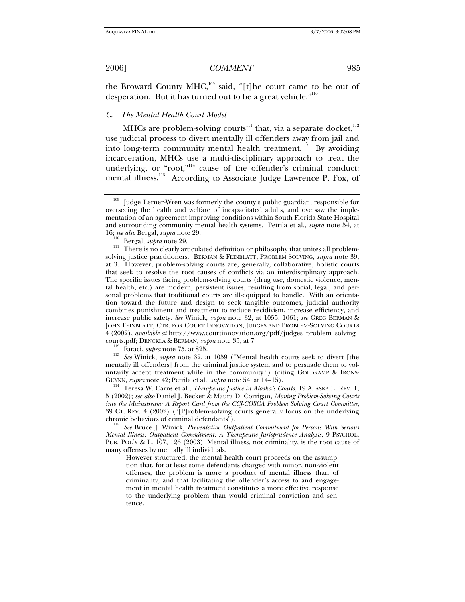the Broward County MHC, $109$  said, "[t]he court came to be out of desperation. But it has turned out to be a great vehicle."<sup>110</sup>

# *C. The Mental Health Court Model*

MHCs are problem-solving courts<sup>111</sup> that, via a separate docket,<sup>112</sup> use judicial process to divert mentally ill offenders away from jail and into long-term community mental health treatment.<sup>113</sup> By avoiding incarceration, MHCs use a multi-disciplinary approach to treat the underlying, or "root,"<sup>114</sup> cause of the offender's criminal conduct: mental illness.<sup>115</sup> According to Associate Judge Lawrence P. Fox, of

mentally ill offenders] from the criminal justice system and to persuade them to voluntarily accept treatment while in the community.") (citing GOLDKAMP & IRONS-

GUYNN, *supra* note 42; Petrila et al., *supra* note 54, at 14–15).<br><sup>114</sup> Teresa W. Carns et al., *Therapeutic Justice in Alaska's Courts*, 19 ALASKA L. REV. 1, 5 (2002); *see also* Daniel J. Becker & Maura D. Corrigan, *Moving Problem-Solving Courts into the Mainstream: A Report Card from the CCJ-COSCA Problem Solving Court Committee*, 39 CT. REV. 4 (2002) ("[P]roblem-solving courts generally focus on the underlying chronic behaviors of criminal defendants"). 115 *See* Bruce J. Winick, *Preventative Outpatient Commitment for Persons With Serious* 

*Mental Illness: Outpatient Commitment: A Therapeutic Jurisprudence Analysis*, 9 PSYCHOL. PUB. POL'Y & L. 107, 126 (2003). Mental illness, not criminality, is the root cause of many offenses by mentally ill individuals.

However structured, the mental health court proceeds on the assumption that, for at least some defendants charged with minor, non-violent offenses, the problem is more a product of mental illness than of criminality, and that facilitating the offender's access to and engagement in mental health treatment constitutes a more effective response to the underlying problem than would criminal conviction and sentence.

 $109$  Judge Lerner-Wren was formerly the county's public guardian, responsible for overseeing the health and welfare of incapacitated adults, and oversaw the implementation of an agreement improving conditions within South Florida State Hospital and surrounding community mental health systems. Petrila et al., *supra* note 54, at

<sup>&</sup>lt;sup>110</sup> Bergal, *supra* note 29. **110** There is no clearly articulated definition or philosophy that unites all problemsolving justice practitioners. BERMAN & FEINBLATT, PROBLEM SOLVING, *supra* note 39, at 3. However, problem-solving courts are, generally, collaborative, holistic courts that seek to resolve the root causes of conflicts via an interdisciplinary approach. The specific issues facing problem-solving courts (drug use, domestic violence, mental health, etc.) are modern, persistent issues, resulting from social, legal, and personal problems that traditional courts are ill-equipped to handle. With an orientation toward the future and design to seek tangible outcomes, judicial authority combines punishment and treatment to reduce recidivism, increase efficiency, and increase public safety. *See* Winick, *supra* note 32, at 1055, 1061; *see* GREG BERMAN & JOHN FEINBLATT, CTR. FOR COURT INNOVATION, JUDGES AND PROBLEM-SOLVING COURTS 4 (2002), *available at* http://www.courtinnovation.org/pdf/judges\_problem\_solving\_ courts.pdf; DENCKLA & BERMAN, *supra* note 35, at 7. 112 Faraci, *supra* note 75, at 825. 113 *See* Winick, *supra* note 32, at 1059 ("Mental health courts seek to divert [the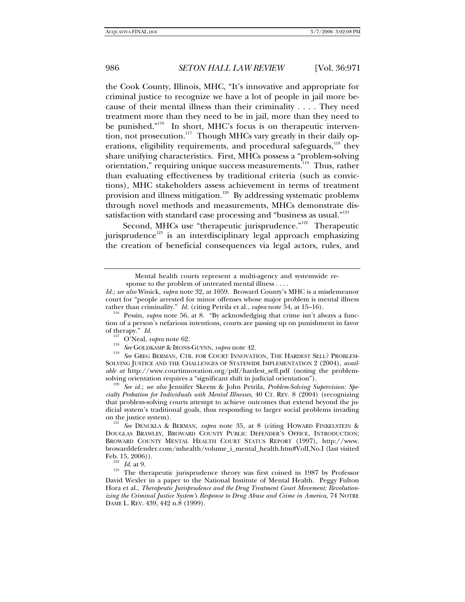the Cook County, Illinois, MHC, "It's innovative and appropriate for criminal justice to recognize we have a lot of people in jail more because of their mental illness than their criminality . . . . They need treatment more than they need to be in jail, more than they need to be punished."<sup>116</sup> In short, MHC's focus is on therapeutic intervention, not prosecution.<sup>117</sup> Though MHCs vary greatly in their daily operations, eligibility requirements, and procedural safeguards, $118$  they share unifying characteristics. First, MHCs possess a "problem-solving orientation," requiring unique success measurements.<sup>119</sup> Thus, rather than evaluating effectiveness by traditional criteria (such as convictions), MHC stakeholders assess achievement in terms of treatment provision and illness mitigation.<sup>120</sup> By addressing systematic problems through novel methods and measurements, MHCs demonstrate dissatisfaction with standard case processing and "business as usual."<sup>121</sup>

Second, MHCs use "therapeutic jurisprudence."<sup>122</sup> Therapeutic jurisprudence<sup>123</sup> is an interdisciplinary legal approach emphasizing the creation of beneficial consequences via legal actors, rules, and

Mental health courts represent a multi-agency and systemwide response to the problem of untreated mental illness . . . .

*Id.*; *see also* Winick, *supra* note 32, at 1059. Broward County's MHC is a misdemeanor court for "people arrested for minor offenses whose major problem is mental illness rather than criminality." *Id.* (citing Petrila et al., *supra* note 54, at 15–16).<br><sup>116</sup> Pessin, *supra* note 56, at 8. "By acknowledging that crime isn't always a func-

tion of a person's nefarious intentions, courts are passing up on punishment in favor of therapy." *Id.*<br><sup>117</sup> O'Neal, *supra* note 62.<br><sup>118</sup> See GOLDKAMP & IRONS-GUYNN, *supra* note 42.<br><sup>119</sup> See GREG BERMAN, CTR. FOR COURT INNOVATION, THE HARDEST SELL? PROBLEM-

SOLVING JUSTICE AND THE CHALLENGES OF STATEWIDE IMPLEMENTATION 2 (2004), *available at* http://www.courtinnovation.org/pdf/hardest\_sell.pdf (noting the problemsolving orientation requires a "significant shift in judicial orientation"). 120 *See id.*; *see also* Jennifer Skeem & John Petrila, *Problem-Solving Supervision: Spe-*

*cialty Probation for Individuals with Mental Illnesses*, 40 CT. REV. 8 (2004) (recognizing that problem-solving courts attempt to achieve outcomes that extend beyond the judicial system's traditional goals, thus responding to larger social problems invading on the justice system).

<sup>&</sup>lt;sup>121</sup> See DENCKLA & BERMAN, *supra* note 35, at 8 (citing HOWARD FINKELSTEIN & DOUGLAS BRAWLEY, BROWARD COUNTY PUBLIC DEFENDER'S OFFICE, INTRODUCTION; BROWARD COUNTY MENTAL HEALTH COURT STATUS REPORT (1997), http://www. browarddefender.com/mhealth/volume\_i\_mental\_health.htm#VolI,No.I (last visited

<sup>&</sup>lt;sup>122</sup> *Id.* at 9. 123 The therapeutic jurisprudence theory was first coined in 1987 by Professor David Wexler in a paper to the National Institute of Mental Health. Peggy Fulton Hora et al., *Therapeutic Jurisprudence and the Drug Treatment Court Movement: Revolutionizing the Criminal Justice System's Response to Drug Abuse and Crime in America*, 74 NOTRE DAME L. REV. 439, 442 n.8 (1999).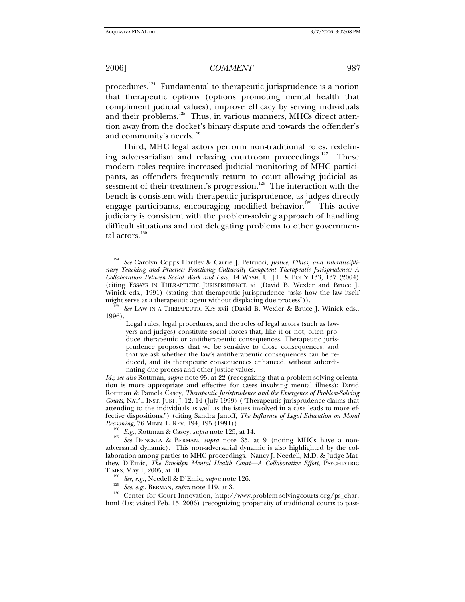procedures.<sup>124</sup> Fundamental to therapeutic jurisprudence is a notion that therapeutic options (options promoting mental health that compliment judicial values), improve efficacy by serving individuals and their problems.<sup>125</sup> Thus, in various manners, MHCs direct attention away from the docket's binary dispute and towards the offender's and community's needs.<sup>126</sup>

Third, MHC legal actors perform non-traditional roles, redefining adversarialism and relaxing courtroom proceedings.<sup>127</sup> These modern roles require increased judicial monitoring of MHC participants, as offenders frequently return to court allowing judicial assessment of their treatment's progression.<sup>128</sup> The interaction with the bench is consistent with therapeutic jurisprudence, as judges directly engage participants, encouraging modified behavior.<sup>129</sup> This active judiciary is consistent with the problem-solving approach of handling difficult situations and not delegating problems to other governmental actors.<sup>130</sup>

See Carolyn Copps Hartley & Carrie J. Petrucci, *Justice, Ethics, and Interdisciplinary Teaching and Practice: Practicing Culturally Competent Therapeutic Jurisprudence: A Collaboration Between Social Work and Law*, 14 WASH. U. J.L. & POL'Y 133, 137 (2004) (citing ESSAYS IN THERAPEUTIC JURISPRUDENCE xi (David B. Wexler and Bruce J. Winick eds., 1991) (stating that therapeutic jurisprudence "asks how the law itself might serve as a therapeutic agent without displacing due process")).<br><sup>125</sup> See LAW IN A THERAPEUTIC KEY xvii (David B. Wexler & Bruce J. Winick eds.,

<sup>1996).</sup> 

Legal rules, legal procedures, and the roles of legal actors (such as lawyers and judges) constitute social forces that, like it or not, often produce therapeutic or antitherapeutic consequences. Therapeutic jurisprudence proposes that we be sensitive to those consequences, and that we ask whether the law's antitherapeutic consequences can be reduced, and its therapeutic consequences enhanced, without subordinating due process and other justice values.

*Id.*; *see also* Rottman, *supra* note 95, at 22 (recognizing that a problem-solving orientation is more appropriate and effective for cases involving mental illness); David Rottman & Pamela Casey, *Therapeutic Jurisprudence and the Emergence of Problem-Solving Courts*, NAT'L INST. JUST. J. 12, 14 (July 1999) ("Therapeutic jurisprudence claims that attending to the individuals as well as the issues involved in a case leads to more effective dispositions.") (citing Sandra Janoff, *The Influence of Legal Education on Moral* 

*Reasoning, 76 MINN. L. REV. 194, 195 (1991)).* <sup>126</sup> *E.g.*, Rottman & Casey, *supra* note 125, at 14. <sup>127</sup> *See* DENCKLA & BERMAN, *supra* note 35, at 9 (noting MHCs have a nonadversarial dynamic). This non-adversarial dynamic is also highlighted by the collaboration among parties to MHC proceedings. Nancy J. Needell, M.D. & Judge Matthew D'Emic, *The Brooklyn Mental Health Court—A Collaborative Effort*, PSYCHIATRIC

TIMES, May 1, 2005, at 10.<br>
<sup>128</sup> See, e.g., Needell & D'Emic, *supra* note 126.<br>
<sup>129</sup> See, e.g., BERMAN, *supra* note 119, at 3.<br>
Center for Court Innovation, http://www.problem-solvingcourts.org/ps\_char. html (last visited Feb. 15, 2006) (recognizing propensity of traditional courts to pass-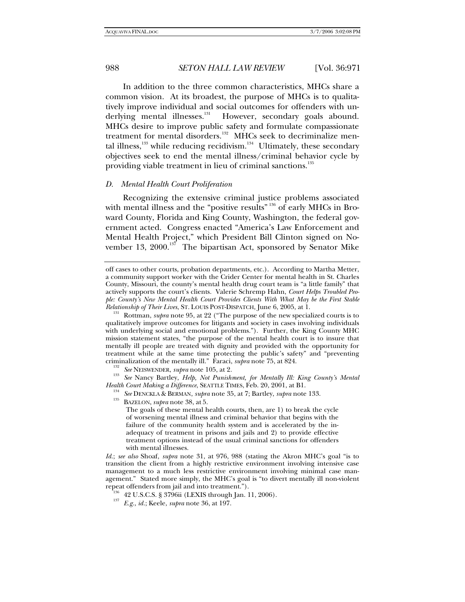In addition to the three common characteristics, MHCs share a common vision. At its broadest, the purpose of MHCs is to qualitatively improve individual and social outcomes for offenders with underlying mental illnesses.<sup>131</sup> However, secondary goals abound. MHCs desire to improve public safety and formulate compassionate treatment for mental disorders.<sup>132</sup> MHCs seek to decriminalize mental illness, $133$  while reducing recidivism. $134$  Ultimately, these secondary objectives seek to end the mental illness/criminal behavior cycle by providing viable treatment in lieu of criminal sanctions.<sup>135</sup>

#### *D. Mental Health Court Proliferation*

Recognizing the extensive criminal justice problems associated with mental illness and the "positive results"  $136$  of early MHCs in Broward County, Florida and King County, Washington, the federal government acted. Congress enacted "America's Law Enforcement and Mental Health Project," which President Bill Clinton signed on November 13, 2000.<sup>137</sup> The bipartisan Act, sponsored by Senator Mike

<sup>132</sup> See NEISWENDER, supra note 105, at 2.<br><sup>133</sup> See Nancy Bartley, *Help, Not Punishment, for Mentally Ill: King County's Mental*<br>*Health Court Making a Difference, SEATTLE TIMES, Feb. 20, 2001, at B1.* 

<sup>134</sup> See DENCKLA & BERMAN, *supra* note 35, at 7; Bartley, *supra* note 133. BAZELON, *supra* note 38, at 5.

The goals of these mental health courts, then, are 1) to break the cycle of worsening mental illness and criminal behavior that begins with the failure of the community health system and is accelerated by the inadequacy of treatment in prisons and jails and 2) to provide effective treatment options instead of the usual criminal sanctions for offenders with mental illnesses.

*Id.*; *see also* Shoaf, *supra* note 31, at 976, 988 (stating the Akron MHC's goal "is to transition the client from a highly restrictive environment involving intensive case management to a much less restrictive environment involving minimal case management." Stated more simply, the MHC's goal is "to divert mentally ill non-violent repeat offenders from jail and into treatment.").<br><sup>136</sup> 42 U.S.C.S. § 3796ii (LEXIS through Jan. 11, 2006).<br><sup>137</sup> E.g., *id.*; Keele, *supra* note 36, at 197.

off cases to other courts, probation departments, etc.). According to Martha Metter, a community support worker with the Crider Center for mental health in St. Charles County, Missouri, the county's mental health drug court team is "a little family" that actively supports the court's clients. Valerie Schremp Hahn, *Court Helps Troubled People: County's New Mental Health Court Provides Clients With What May be the First Stable Relationship of Their Lives*, ST. LOUIS POST-DISPATCH, June 6, 2005, at 1. 131 Rottman, *supra* note 95, at 22 ("The purpose of the new specialized courts is to

qualitatively improve outcomes for litigants and society in cases involving individuals with underlying social and emotional problems."). Further, the King County MHC mission statement states, "the purpose of the mental health court is to insure that mentally ill people are treated with dignity and provided with the opportunity for treatment while at the same time protecting the public's safety" and "preventing criminalization of the mentally ill." Faraci, *supra* note 75, at 824.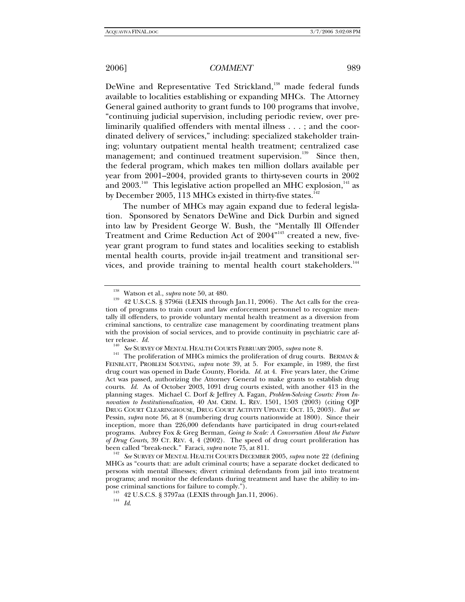DeWine and Representative Ted Strickland,<sup>138</sup> made federal funds available to localities establishing or expanding MHCs. The Attorney General gained authority to grant funds to 100 programs that involve, "continuing judicial supervision, including periodic review, over preliminarily qualified offenders with mental illness . . . ; and the coordinated delivery of services," including: specialized stakeholder training; voluntary outpatient mental health treatment; centralized case management; and continued treatment supervision.<sup>139</sup> Since then, the federal program, which makes ten million dollars available per year from 2001–2004, provided grants to thirty-seven courts in 2002 and  $2003.^{^{140}}$  This legislative action propelled an MHC explosion, $^{^{141}}$  as by December 2005, 113 MHCs existed in thirty-five states. $142$ 

The number of MHCs may again expand due to federal legislation. Sponsored by Senators DeWine and Dick Durbin and signed into law by President George W. Bush, the "Mentally Ill Offender Treatment and Crime Reduction Act of 2004"<sup>143</sup> created a new, fiveyear grant program to fund states and localities seeking to establish mental health courts, provide in-jail treatment and transitional services, and provide training to mental health court stakeholders.<sup>144</sup>

 $See$  SURVEY OF MENTAL HEALTH COURTS DECEMBER 2005, *supra* note 22 (defining MHCs as "courts that: are adult criminal courts; have a separate docket dedicated to persons with mental illnesses; divert criminal defendants from jail into treatment programs; and monitor the defendants during treatment and have the ability to impose criminal sanctions for failure to comply.").<br><sup>143</sup> 42 U.S.C.S. § 3797aa (LEXIS through Jan.11, 2006).

<sup>&</sup>lt;sup>138</sup> Watson et al., *supra* note 50, at 480.<br><sup>139</sup> 42 U.S.C.S. § 3796ii (LEXIS through Jan.11, 2006). The Act calls for the creation of programs to train court and law enforcement personnel to recognize mentally ill offenders, to provide voluntary mental health treatment as a diversion from criminal sanctions, to centralize case management by coordinating treatment plans with the provision of social services, and to provide continuity in psychiatric care af-<br>ter release.  $Id$ .

<sup>&</sup>lt;sup>140</sup> See SURVEY OF MENTAL HEALTH COURTS FEBRUARY 2005, *supra* note 8.<br><sup>141</sup> The proliferation of MHCs mimics the proliferation of drug courts. BERMAN & FEINBLATT, PROBLEM SOLVING, *supra* note 39, at 5. For example, in 1989, the first drug court was opened in Dade County, Florida. *Id.* at 4. Five years later, the Crime Act was passed, authorizing the Attorney General to make grants to establish drug courts. *Id.* As of October 2003, 1091 drug courts existed, with another 413 in the planning stages. Michael C. Dorf & Jeffrey A. Fagan, *Problem-Solving Courts: From Innovation to Institutionalization*, 40 AM. CRIM. L. REV. 1501, 1503 (2003) (citing OJP DRUG COURT CLEARINGHOUSE, DRUG COURT ACTIVITY UPDATE: OCT. 15, 2003). *But see*  Pessin, *supra* note 56, at 8 (numbering drug courts nationwide at 1800). Since their inception, more than 226,000 defendants have participated in drug court-related programs. Aubrey Fox & Greg Berman, *Going to Scale: A Conversation About the Future of Drug Courts,* 39 CT. REV. 4, 4 (2002). The speed of drug court proliferation has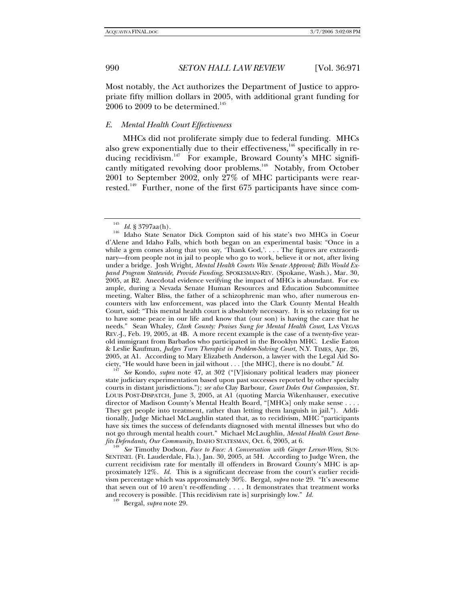Most notably, the Act authorizes the Department of Justice to appropriate fifty million dollars in 2005, with additional grant funding for  $2006$  to  $2009$  to be determined.<sup>145</sup>

## *E. Mental Health Court Effectiveness*

MHCs did not proliferate simply due to federal funding. MHCs also grew exponentially due to their effectiveness,<sup>146</sup> specifically in reducing recidivism.<sup>147</sup> For example, Broward County's MHC significantly mitigated revolving door problems.<sup>148</sup> Notably, from October 2001 to September 2002, only 27% of MHC participants were rearrested.<sup>149</sup> Further, none of the first  $675$  participants have since com-

ciety, "He would have been in jail without . . . [the MHC], there is no doubt." *Id.* <sup>147</sup> *See* Kondo, *supra* note 47, at 302 ("[V]isionary political leaders may pioneer state judiciary experimentation based upon past successes reported by other specialty courts in distant jurisdictions."); *see also* Clay Barbour, *Court Doles Out Compassion,* ST. LOUIS POST-DISPATCH, June 3, 2005, at A1 (quoting Marcia Wikenhauser, executive director of Madison County's Mental Health Board, "[MHCs] only make sense . . . . They get people into treatment, rather than letting them languish in jail."). Additionally, Judge Michael McLaughlin stated that, as to recidivism, MHC "participants have six times the success of defendants diagnosed with mental illnesses but who do not go through mental health court." Michael McLaughlin, *Mental Health Court Benefits Defendants, Our Community*, IDAHO STATESMAN, Oct. 6, 2005, at 6.<br><sup>148</sup> See Timothy Dodson, *Face to Face: A Conversation with Ginger Lerner-Wren*, SUN-

SENTINEL (Ft. Lauderdale, Fla.), Jan. 30, 2005, at 5H. According to Judge Wren, the current recidivism rate for mentally ill offenders in Broward County's MHC is approximately 12%. *Id.* This is a significant decrease from the court's earlier recidivism percentage which was approximately 30%.Bergal, *supra* note 29. "It's awesome that seven out of 10 aren't re-offending . . . . It demonstrates that treatment works and recovery is possible. [This recidivism rate is] surprisingly low." *Id.* 149 Bergal, *supra* note 29.

<sup>&</sup>lt;sup>145</sup> *Id.* § 3797aa(h).<br><sup>146</sup> Idaho State Senator Dick Compton said of his state's two MHCs in Coeur d'Alene and Idaho Falls, which both began on an experimental basis: "Once in a while a gem comes along that you say, 'Thank God,'. . . . The figures are extraordinary—from people not in jail to people who go to work, believe it or not, after living under a bridge. Josh Wright, *Mental Health Courts Win Senate Approval; Bills Would Expand Program Statewide, Provide Funding*, SPOKESMAN-REV. (Spokane, Wash.), Mar. 30, 2005, at B2. Anecdotal evidence verifying the impact of MHCs is abundant. For example, during a Nevada Senate Human Resources and Education Subcommittee meeting, Walter Bliss, the father of a schizophrenic man who, after numerous encounters with law enforcement, was placed into the Clark County Mental Health Court, said: "This mental health court is absolutely necessary. It is so relaxing for us to have some peace in our life and know that (our son) is having the care that he needs." Sean Whaley, *Clark County: Praises Sung for Mental Health Court*, LAS VEGAS REV.-J., Feb. 19, 2005, at 4B. A more recent example is the case of a twenty-five yearold immigrant from Barbados who participated in the Brooklyn MHC. Leslie Eaton & Leslie Kaufman, *Judges Turn Therapist in Problem-Solving Court*, N.Y. TIMES, Apr. 26, 2005, at A1. According to Mary Elizabeth Anderson, a lawyer with the Legal Aid So-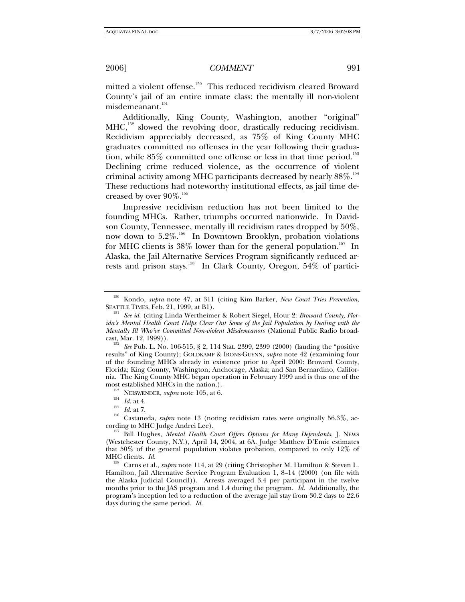mitted a violent offense.<sup>150</sup> This reduced recidivism cleared Broward County's jail of an entire inmate class: the mentally ill non-violent misdemeanant.<sup>151</sup>

Additionally, King County, Washington, another "original" MHC,<sup>152</sup> slowed the revolving door, drastically reducing recidivism. Recidivism appreciably decreased, as 75% of King County MHC graduates committed no offenses in the year following their graduation, while  $85\%$  committed one offense or less in that time period.<sup>153</sup> Declining crime reduced violence, as the occurrence of violent criminal activity among MHC participants decreased by nearly  $88\%.$ <sup>154</sup> These reductions had noteworthy institutional effects, as jail time decreased by over  $90\%$ .<sup>155</sup>

Impressive recidivism reduction has not been limited to the founding MHCs. Rather, triumphs occurred nationwide. In Davidson County, Tennessee, mentally ill recidivism rates dropped by 50%, now down to 5.2%.<sup>156</sup> In Downtown Brooklyn, probation violations for MHC clients is  $38\%$  lower than for the general population.<sup>157</sup> In Alaska, the Jail Alternative Services Program significantly reduced arrests and prison stays.<sup>158</sup> In Clark County, Oregon, 54% of partici-

- 
- 

<sup>150</sup> Kondo, *supra* note 47, at 311 (citing Kim Barker, *New Court Tries Prevention*, SEATTLE TIMES, Feb. 21, 1999, at B1). 151 *See id.* (citing Linda Wertheimer & Robert Siegel, Hour 2: *Broward County, Flor-*

*ida's Mental Health Court Helps Clear Out Some of the Jail Population by Dealing with the Mentally Ill Who've Committed Non-violent Misdemeanors* (National Public Radio broad-cast, Mar. 12, 1999)).

See Pub. L. No. 106-515, § 2, 114 Stat. 2399, 2399 (2000) (lauding the "positive results" of King County); GOLDKAMP & IRONS-GUYNN, *supra* note 42 (examining four of the founding MHCs already in existence prior to April 2000: Broward County, Florida; King County, Washington; Anchorage, Alaska; and San Bernardino, California. The King County MHC began operation in February 1999 and is thus one of the

most established MHCs in the nation.).<br><sup>153</sup> NEISWENDER, *supra* note 105, at 6.<br><sup>154</sup> *Id.* at 4.<br><sup>155</sup> Castaneda, *supra* note 13 (noting recidivism rates were originally 56.3%, ac-<br>cording to MHC Judge Andrei Lee).

<sup>&</sup>lt;sup>157</sup> Bill Hughes, *Mental Health Court Offers Options for Many Defendants*, J. NEWS (Westchester County, N.Y.), April 14, 2004, at 6A. Judge Matthew D'Emic estimates that 50% of the general population violates probation, compared to only 12% of MHC clients. *Id.* 158 Carns et al., *supra* note 114, at 29 (citing Christopher M. Hamilton & Steven L.

Hamilton, Jail Alternative Service Program Evaluation 1, 8–14 (2000) (on file with the Alaska Judicial Council)). Arrests averaged 3.4 per participant in the twelve months prior to the JAS program and 1.4 during the program. *Id.* Additionally, the program's inception led to a reduction of the average jail stay from 30.2 days to 22.6 days during the same period. *Id.*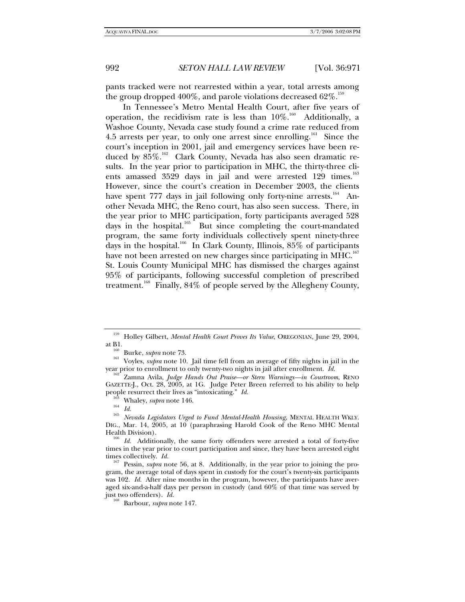pants tracked were not rearrested within a year, total arrests among the group dropped 400%, and parole violations decreased  $62\%$ .<sup>159</sup>

In Tennessee's Metro Mental Health Court, after five years of operation, the recidivism rate is less than  $10\%$ .<sup>160</sup> Additionally, a Washoe County, Nevada case study found a crime rate reduced from 4.5 arrests per year, to only one arrest since enrolling.<sup>161</sup> Since the court's inception in 2001, jail and emergency services have been reduced by  $85\%$ .<sup>162</sup> Clark County, Nevada has also seen dramatic results. In the year prior to participation in MHC, the thirty-three clients amassed 3529 days in jail and were arrested 129 times.<sup>163</sup> However, since the court's creation in December 2003, the clients have spent  $777$  days in jail following only forty-nine arrests.<sup>164</sup> Another Nevada MHC, the Reno court, has also seen success. There, in the year prior to MHC participation, forty participants averaged 528 days in the hospital. $165$  But since completing the court-mandated program, the same forty individuals collectively spent ninety-three days in the hospital.<sup>166</sup> In Clark County, Illinois,  $85\%$  of participants have not been arrested on new charges since participating in MHC.<sup>167</sup> St. Louis County Municipal MHC has dismissed the charges against 95% of participants, following successful completion of prescribed treatment.<sup>168</sup> Finally, 84% of people served by the Allegheny County,

<sup>159</sup> Holley Gilbert, *Mental Health Court Proves Its Value*, OREGONIAN, June 29, 2004, at B1. 160 Burke, *supra* note 73. 161 Voyles, *supra* note 10.Jail time fell from an average of fifty nights in jail in the

year prior to enrollment to only twenty-two nights in jail after enrollment. *Id.* 162 Zamna Avila, *Judge Hands Out Praise—or Stern Warnings—in Courtroom*, RENO

GAZETTE-J., Oct. 28, 2005, at 1G. Judge Peter Breen referred to his ability to help people resurrect their lives as "intoxicating."  $Id$ .

people resurrect their lives as "intoxicating." *Id.* 163 Whaley, *supra* note 146. 164 *Id.* <sup>165</sup> *Nevada Legislators Urged to Fund Mental-Health Housing*, MENTAL HEALTH WKLY. DIG., Mar. 14, 2005, at 10 (paraphrasing Harold Cook of the Reno MHC Mental

Health Division). 166 *Id.* Additionally, the same forty offenders were arrested a total of forty-five times in the year prior to court participation and since, they have been arrested eight times collectively. *Id.* 167 Pessin, *supra* note 56, at 8. Additionally, in the year prior to joining the pro-

gram, the average total of days spent in custody for the court's twenty-six participants was 102. *Id.* After nine months in the program, however, the participants have averaged six-and-a-half days per person in custody (and 60% of that time was served by just two offenders). *Id.* 168 Barbour, *supra* note 147.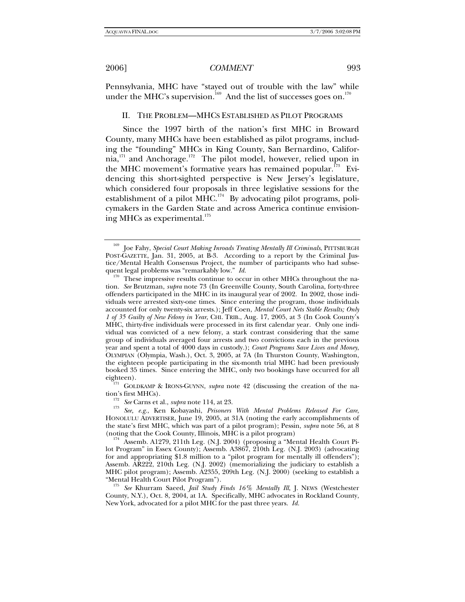Pennsylvania, MHC have "stayed out of trouble with the law" while under the MHC's supervision.<sup>169</sup> And the list of successes goes on.<sup>170</sup>

#### II. THE PROBLEM—MHCS ESTABLISHED AS PILOT PROGRAMS

Since the 1997 birth of the nation's first MHC in Broward County, many MHCs have been established as pilot programs, including the "founding" MHCs in King County, San Bernardino, California, $^{171}$  and Anchorage.<sup>172</sup> The pilot model, however, relied upon in the MHC movement's formative years has remained popular.<sup>173</sup> Evidencing this short-sighted perspective is New Jersey's legislature, which considered four proposals in three legislative sessions for the establishment of a pilot  $MHC$ <sup>174</sup> By advocating pilot programs, policymakers in the Garden State and across America continue envisioning MHCs as experimental.<sup>175</sup>

eighteen).<br><sup>171</sup> GOLDKAMP & IRONS-GUYNN, *supra* note 42 (discussing the creation of the na-<br>tion's first MHCs).

tion's first MHCs). 172 *See* Carns et al., *supra* note 114, at 23. 173 *See, e.g.*, Ken Kobayashi, *Prisoners With Mental Problems Released For Care*, HONOLULU ADVERTISER, June 19, 2005, at 31A (noting the early accomplishments of the state's first MHC, which was part of a pilot program); Pessin, *supra* note 56, at 8

174 Assemb. A1279, 211th Leg. (N.J. 2004) (proposing a "Mental Health Court Pilot Program" in Essex County); Assemb. A3867, 210th Leg. (N.J. 2003) (advocating for and appropriating \$1.8 million to a "pilot program for mentally ill offenders"); Assemb. AR222, 210th Leg. (N.J. 2002) (memorializing the judiciary to establish a MHC pilot program); Assemb. A2355, 209th Leg. (N.J. 2000) (seeking to establish a "Mental Health Court Pilot Program").

<sup>175</sup> See Khurram Saeed, *Jail Study Finds 16% Mentally Ill*, J. NEWS (Westchester County, N.Y.), Oct. 8, 2004, at 1A. Specifically, MHC advocates in Rockland County, New York, advocated for a pilot MHC for the past three years. *Id.*

<sup>&</sup>lt;sup>169</sup> Joe Fahy, *Special Court Making Inroads Treating Mentally Ill Criminals*, PITTSBURGH POST-GAZETTE, Jan. 31, 2005, at B-3. According to a report by the Criminal Justice/Mental Health Consensus Project, the number of participants who had subsequent legal problems was "remarkably low."  $Id$ .

<sup>&</sup>lt;sup>170</sup> These impressive results continue to occur in other MHCs throughout the nation. *See* Brutzman, *supra* note 73 (In Greenville County, South Carolina, forty-three offenders participated in the MHC in its inaugural year of 2002. In 2002, those individuals were arrested sixty-one times. Since entering the program, those individuals accounted for only twenty-six arrests.); Jeff Coen, *Mental Court Nets Stable Results; Only 1 of 35 Guilty of New Felony in Year*, CHI. TRIB., Aug. 17, 2005, at 3 (In Cook County's MHC, thirty-five individuals were processed in its first calendar year. Only one individual was convicted of a new felony, a stark contrast considering that the same group of individuals averaged four arrests and two convictions each in the previous year and spent a total of 4000 days in custody.); *Court Programs Save Lives and Money*, OLYMPIAN (Olympia, Wash.), Oct. 3, 2005, at 7A (In Thurston County, Washington, the eighteen people participating in the six-month trial MHC had been previously booked 35 times. Since entering the MHC, only two bookings have occurred for all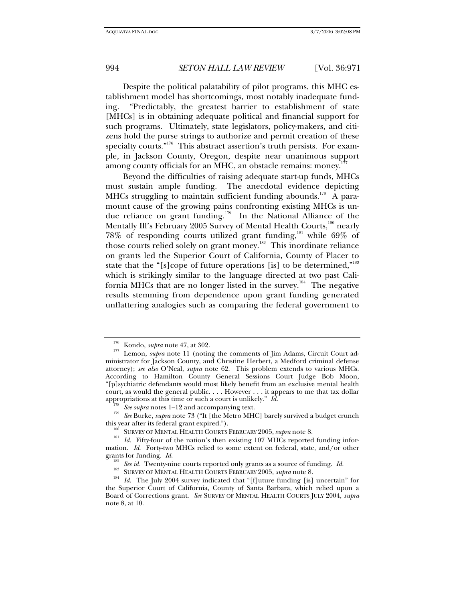Despite the political palatability of pilot programs, this MHC establishment model has shortcomings, most notably inadequate funding. "Predictably, the greatest barrier to establishment of state [MHCs] is in obtaining adequate political and financial support for such programs. Ultimately, state legislators, policy-makers, and citizens hold the purse strings to authorize and permit creation of these specialty courts."<sup>176</sup> This abstract assertion's truth persists. For example, in Jackson County, Oregon, despite near unanimous support among county officials for an MHC, an obstacle remains: money.<sup>1</sup>

Beyond the difficulties of raising adequate start-up funds, MHCs must sustain ample funding. The anecdotal evidence depicting MHCs struggling to maintain sufficient funding abounds.<sup>178</sup> A paramount cause of the growing pains confronting existing MHCs is undue reliance on grant funding.179 In the National Alliance of the Mentally Ill's February 2005 Survey of Mental Health Courts,<sup>180</sup> nearly 78% of responding courts utilized grant funding,<sup>181</sup> while 69% of those courts relied solely on grant money.<sup>182</sup> This inordinate reliance on grants led the Superior Court of California, County of Placer to state that the "[s]cope of future operations [is] to be determined,"<sup>183</sup> which is strikingly similar to the language directed at two past California MHCs that are no longer listed in the survey.184 The negative results stemming from dependence upon grant funding generated unflattering analogies such as comparing the federal government to

<sup>&</sup>lt;sup>176</sup> Kondo, *supra* note 47, at 302.<br><sup>177</sup> Lemon, *supra* note 11 (noting the comments of Jim Adams, Circuit Court administrator for Jackson County, and Christine Herbert, a Medford criminal defense attorney); *see also* O'Neal, *supra* note 62. This problem extends to various MHCs. According to Hamilton County General Sessions Court Judge Bob Moon, "[p]sychiatric defendants would most likely benefit from an exclusive mental health court, as would the general public. . . . However . . . it appears to me that tax dollar

appropriations at this time or such a court is unlikely." *Id.*<br><sup>178</sup> See supra notes 1–12 and accompanying text.<br><sup>179</sup> See Burke, *supra* note 73 ("It [the Metro MHC] barely survived a budget crunch

this year after its federal grant expired.").<br><sup>180</sup> SURVEY OF MENTAL HEALTH COURTS FEBRUARY 2005, *supra* note 8.<br><sup>181</sup> *Id.* Fifty-four of the nation's then existing 107 MHCs reported funding information. *Id.* Forty-two MHCs relied to some extent on federal, state, and/or other grants for funding. *Id.* 

<sup>&</sup>lt;sup>182</sup> *See id.* Twenty-nine courts reported only grants as a source of funding. *Id.* SURVEY OF MENTAL HEALTH COURTS FEBRUARY 2005, *supra* note 8.<br><sup>184</sup> *Id.* The July 2004 survey indicated that "[f]uture funding [is] un the Superior Court of California, County of Santa Barbara, which relied upon a Board of Corrections grant. *See* SURVEY OF MENTAL HEALTH COURTS JULY 2004, *supra*  note 8, at 10.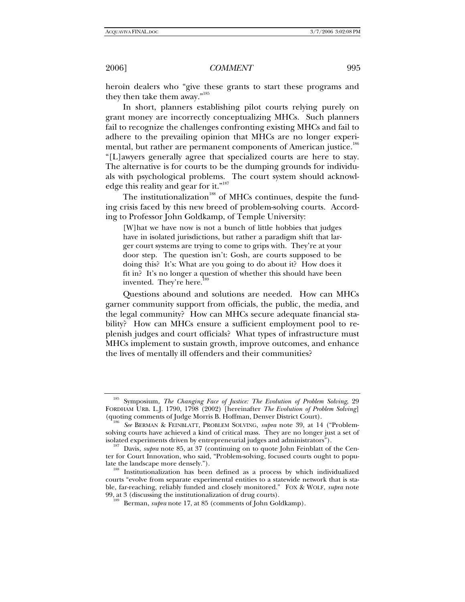heroin dealers who "give these grants to start these programs and they then take them away."<sup>185</sup>

In short, planners establishing pilot courts relying purely on grant money are incorrectly conceptualizing MHCs. Such planners fail to recognize the challenges confronting existing MHCs and fail to adhere to the prevailing opinion that MHCs are no longer experimental, but rather are permanent components of American justice.<sup>186</sup> "[L]awyers generally agree that specialized courts are here to stay. The alternative is for courts to be the dumping grounds for individuals with psychological problems. The court system should acknowledge this reality and gear for it."<sup>187</sup>

The institutionalization<sup>188</sup> of MHCs continues, despite the funding crisis faced by this new breed of problem-solving courts. According to Professor John Goldkamp, of Temple University:

[W]hat we have now is not a bunch of little hobbies that judges have in isolated jurisdictions, but rather a paradigm shift that larger court systems are trying to come to grips with. They're at your door step. The question isn't: Gosh, are courts supposed to be doing this? It's: What are you going to do about it? How does it fit in? It's no longer a question of whether this should have been invented. They're here.

Questions abound and solutions are needed. How can MHCs garner community support from officials, the public, the media, and the legal community? How can MHCs secure adequate financial stability? How can MHCs ensure a sufficient employment pool to replenish judges and court officials? What types of infrastructure must MHCs implement to sustain growth, improve outcomes, and enhance the lives of mentally ill offenders and their communities?

<sup>185</sup> Symposium, *The Changing Face of Justice: The Evolution of Problem Solving*, 29 FORDHAM URB. L.J. 1790, 1798 (2002) [hereinafter *The Evolution of Problem Solving*]

<sup>(</sup>quoting comments of Judge Morris B. Hoffman, Denver District Court). 186 *See* BERMAN & FEINBLATT, PROBLEM SOLVING, *supra* note 39, at 14 ("Problemsolving courts have achieved a kind of critical mass. They are no longer just a set of isolated experiments driven by entrepreneurial judges and administrators"). 187 Davis, *supra* note 85, at 37 (continuing on to quote John Feinblatt of the Cen-

ter for Court Innovation, who said, "Problem-solving, focused courts ought to popu-

<sup>&</sup>lt;sup>188</sup> Institutionalization has been defined as a process by which individualized courts "evolve from separate experimental entities to a statewide network that is stable, far-reaching, reliably funded and closely monitored." FOX & WOLF, *supra* note 99, at 3 (discussing the institutionalization of drug courts). 189 Berman, *supra* note 17, at 85 (comments of John Goldkamp).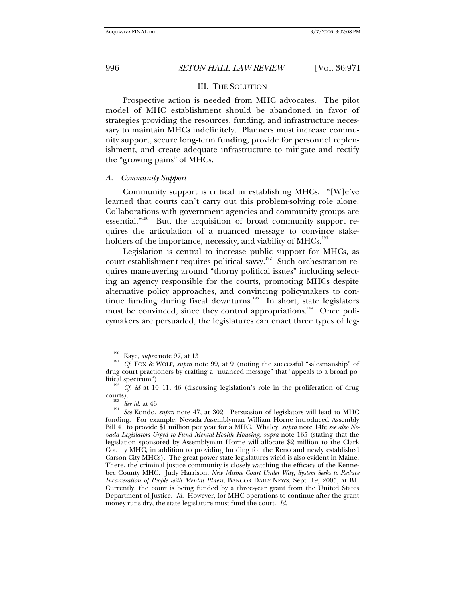## III. THE SOLUTION

Prospective action is needed from MHC advocates. The pilot model of MHC establishment should be abandoned in favor of strategies providing the resources, funding, and infrastructure necessary to maintain MHCs indefinitely. Planners must increase community support, secure long-term funding, provide for personnel replenishment, and create adequate infrastructure to mitigate and rectify the "growing pains" of MHCs.

#### *A. Community Support*

Community support is critical in establishing MHCs. "[W]e've learned that courts can't carry out this problem-solving role alone. Collaborations with government agencies and community groups are essential."<sup>190</sup> But, the acquisition of broad community support requires the articulation of a nuanced message to convince stakeholders of the importance, necessity, and viability of MHCs.<sup>191</sup>

Legislation is central to increase public support for MHCs, as court establishment requires political savvy.192 Such orchestration requires maneuvering around "thorny political issues" including selecting an agency responsible for the courts, promoting MHCs despite alternative policy approaches, and convincing policymakers to continue funding during fiscal downturns.<sup>193</sup> In short, state legislators must be convinced, since they control appropriations.<sup>194</sup> Once policymakers are persuaded, the legislatures can enact three types of leg-

<sup>&</sup>lt;sup>190</sup> Kaye, *supra* note 97, at 13<br><sup>191</sup> *Cf.* FOX & WOLF, *supra* note 99, at 9 (noting the successful "salesmanship" of drug court practioners by crafting a "nuanced message" that "appeals to a broad po-

<sup>&</sup>lt;sup>192</sup> *Cf. id* at 10–11, 46 (discussing legislation's role in the proliferation of drug

courts)*.* <sup>193</sup> *See id.* at 46*.* <sup>194</sup> *See* Kondo, *supra* note 47, at 302. Persuasion of legislators will lead to MHC funding. For example, Nevada Assemblyman William Horne introduced Assembly Bill 41 to provide \$1 million per year for a MHC. Whaley, *supra* note 146; *see also Nevada Legislators Urged to Fund Mental-Health Housing*, *supra* note 165 (stating that the legislation sponsored by Assemblyman Horne will allocate \$2 million to the Clark County MHC, in addition to providing funding for the Reno and newly established Carson City MHCs). The great power state legislatures wield is also evident in Maine. There, the criminal justice community is closely watching the efficacy of the Kennebec County MHC. Judy Harrison, *New Maine Court Under Way; System Seeks to Reduce Incarceration of People with Mental Illness*, BANGOR DAILY NEWS, Sept. 19, 2005, at B1. Currently, the court is being funded by a three-year grant from the United States Department of Justice. *Id.* However, for MHC operations to continue after the grant money runs dry, the state legislature must fund the court. *Id.*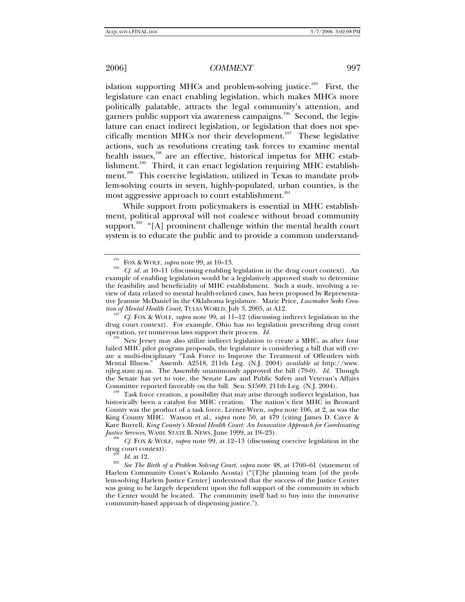islation supporting MHCs and problem-solving justice.<sup>195</sup> First, the legislature can enact enabling legislation, which makes MHCs more politically palatable, attracts the legal community's attention, and garners public support via awareness campaigns.<sup>196</sup> Second, the legislature can enact indirect legislation, or legislation that does not specifically mention MHCs nor their development.<sup>197</sup> These legislative actions, such as resolutions creating task forces to examine mental health issues,<sup>198</sup> are an effective, historical impetus for MHC establishment.<sup>199</sup> Third, it can enact legislation requiring MHC establishment.<sup>200</sup> This coercive legislation, utilized in Texas to mandate problem-solving courts in seven, highly-populated, urban counties, is the most aggressive approach to court establishment.<sup>201</sup>

While support from policymakers is essential in MHC establishment, political approval will not coalesce without broad community support.<sup>202</sup> "[A] prominent challenge within the mental health court system is to educate the public and to provide a common understand-

*tf.* Fox & WOLF, *supra* note 99, at 11–12 (discussing indirect legislation in the drug court context). For example, Ohio has no legislation prescribing drug court

operation, yet numerous laws support their process. *Id.* <sup>198</sup> New Jersey may also utilize indirect legislation to create a MHC, as after four failed MHC pilot program proposals, the legislature is considering a bill that will create a multi-disciplinary "Task Force to Improve the Treatment of Offenders with Mental Illness." Assemb. A2518, 211th Leg. (N.J. 2004) *available at* http://www. njleg.state.nj.us. The Assembly unanimously approved the bill (79-0). *Id*. Though the Senate has yet to vote, the Senate Law and Public Safety and Veteran's Affairs Committee reported favorably on the bill. Sen. S1509, 211th Leg. (N.J. 2004).<br><sup>199</sup> Task force creation, a possibility that may arise through indirect legislation, has

historically been a catalyst for MHC creation. The nation's first MHC in Broward County was the product of a task force, Lerner-Wren, *supra* note 106, at 2, as was the King County MHC. Watson et al., *supra* note 50, at 479 (citing James D. Cayce & Kare Burrell, *King County's Mental Health Court: An Innovative Approach for Coordinating* 

*Justice Services,* WASH. STATE B. NEWS, June 1999, at 19–23). 200 *Cf.* FOX & WOLF, *supra* note 99, at 12–13 (discussing coercive legislation in the drug court context).<br><sup>201</sup> Id. at 12.<br><sup>202</sup> See The Birth of a Problem Solving Court, *supra* note 48, at 1760–61 (statement of

Harlem Community Court's Rolando Acosta) ("[T]he planning team [of the problem-solving Harlem Justice Center] understood that the success of the Justice Center was going to be largely dependent upon the full support of the community in which the Center would be located. The community itself had to buy into the innovative community-based approach of dispensing justice.").

<sup>&</sup>lt;sup>195</sup> FOX & WOLF, *supra* note 99, at 10–13.<br><sup>196</sup> *Cf. id.* at 10–11 (discussing enabling legislation in the drug court context). An example of enabling legislation would be a legislatively approved study to determine the feasibility and beneficiality of MHC establishment. Such a study, involving a review of data related to mental health-related cases, has been proposed by Representative Jeannie McDaniel in the Oklahoma legislature. Marie Price, *Lawmaker Seeks Crea-*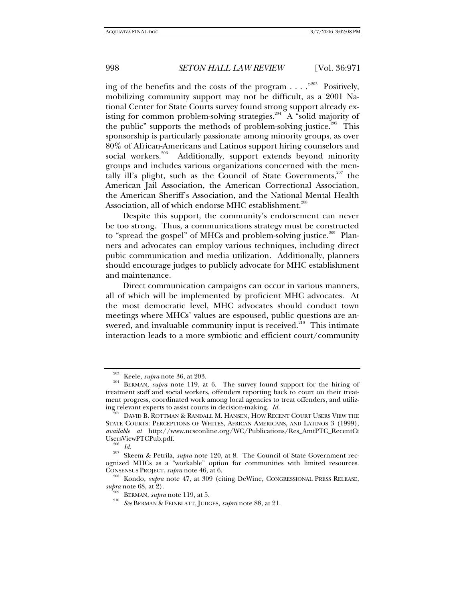ing of the benefits and the costs of the program  $\dots$ ."<sup>203</sup> Positively, mobilizing community support may not be difficult, as a 2001 National Center for State Courts survey found strong support already existing for common problem-solving strategies.<sup>204</sup> A "solid majority of the public" supports the methods of problem-solving justice.<sup> $205$ </sup> This sponsorship is particularly passionate among minority groups, as over 80% of African-Americans and Latinos support hiring counselors and social workers.<sup>206</sup> Additionally, support extends beyond minority groups and includes various organizations concerned with the mentally ill's plight, such as the Council of State Governments, $207$  the American Jail Association, the American Correctional Association, the American Sheriff's Association, and the National Mental Health Association, all of which endorse MHC establishment.<sup>208</sup>

Despite this support, the community's endorsement can never be too strong. Thus, a communications strategy must be constructed to "spread the gospel" of MHCs and problem-solving justice.<sup>209</sup> Planners and advocates can employ various techniques, including direct pubic communication and media utilization. Additionally, planners should encourage judges to publicly advocate for MHC establishment and maintenance.

Direct communication campaigns can occur in various manners, all of which will be implemented by proficient MHC advocates. At the most democratic level, MHC advocates should conduct town meetings where MHCs' values are espoused, public questions are answered, and invaluable community input is received.<sup>210</sup> This intimate interaction leads to a more symbiotic and efficient court/community

<sup>203</sup> Keele, *supra* note 36, at 203. 204 BERMAN, *supra* note 119, at 6. The survey found support for the hiring of treatment staff and social workers, offenders reporting back to court on their treatment progress, coordinated work among local agencies to treat offenders, and utilizing relevant experts to assist courts in decision-making.  $Id$ .

DAVID B. ROTTMAN & RANDALL M. HANSEN, HOW RECENT COURT USERS VIEW THE STATE COURTS: PERCEPTIONS OF WHITES, AFRICAN AMERICANS, AND LATINOS 3 (1999), *available at* http://www.ncsconline.org/WC/Publications/Res\_AmtPTC\_RecentCt

<sup>&</sup>lt;sup>206</sup> Id.<br><sup>207</sup> Skeem & Petrila, *supra* note 120, at 8. The Council of State Government recognized MHCs as a "workable" option for communities with limited resources.

CONSENSUS PROJECT, *supra* note 46, at 6. <sup>208</sup> Kondo, *supra* note 47, at 309 (citing DeWine, CONGRESSIONAL PRESS RELEASE, *supra* note 68, at 2).

*supra* note 68, at 2). 209 BERMAN, *supra* note 119, at 5. 210 *See* BERMAN & FEINBLATT, JUDGES, *supra* note 88, at 21.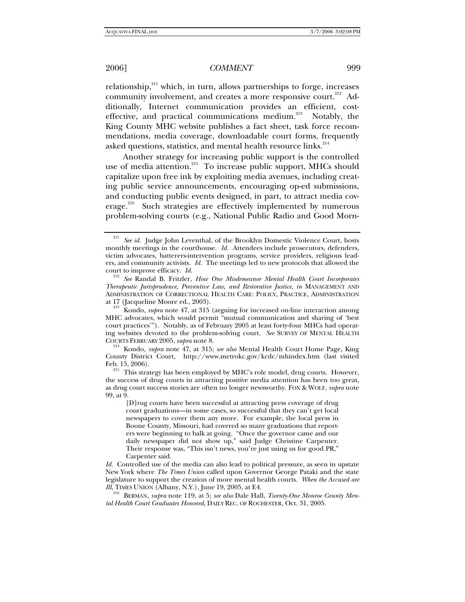relationship,<sup>211</sup> which, in turn, allows partnerships to forge, increases community involvement, and creates a more responsive court.<sup>212</sup> Additionally, Internet communication provides an efficient, costeffective, and practical communications medium.<sup>213</sup> Notably, the King County MHC website publishes a fact sheet, task force recommendations, media coverage, downloadable court forms, frequently asked questions, statistics, and mental health resource links.<sup>21</sup>

Another strategy for increasing public support is the controlled use of media attention.<sup>215</sup> To increase public support, MHCs should capitalize upon free ink by exploiting media avenues, including creating public service announcements, encouraging op-ed submissions, and conducting public events designed, in part, to attract media coverage.<sup>216</sup> Such strategies are effectively implemented by numerous problem-solving courts (e.g., National Public Radio and Good Morn-

<sup>&</sup>lt;sup>211</sup> See id. Judge John Leventhal, of the Brooklyn Domestic Violence Court, hosts monthly meetings in the courthouse. *Id.* Attendees include prosecutors, defenders, victim advocates, batterers-intervention programs, service providers, religious leaders, and community activists. *Id.* The meetings led to new protocols that allowed the

court to improve efficacy. *Id.* <sup>212</sup> *See* Randal B. Fritzler, *How One Misdemeanor Mental Health Court Incorporates Therapeutic Jurisprudence, Preventive Law, and Restorative Justice*, *in* MANAGEMENT AND ADMINISTRATION OF CORRECTIONAL HEALTH CARE: POLICY, PRACTICE, ADMINISTRATION at 17 (Jacqueline Moore ed., 2003). 213 Kondo, *supra* note 47, at 315 (arguing for increased on-line interaction among

MHC advocates, which would permit "mutual communication and sharing of 'best court practices'"). Notably, as of February 2005 at least forty-four MHCs had operating websites devoted to the problem-solving court. *See* SURVEY OF MENTAL HEALTH

<sup>&</sup>lt;sup>214</sup> Kondo, *supra* note 47, at 315; *see also* Mental Health Court Home Page, King County District Court, http://www.metrokc.gov/kcdc/mhindex.htm (last visited

Feb. 15, 2006).  $\frac{215}{215}$  This strategy has been employed by MHC's role model, drug courts. However, the success of drug courts in attracting positive media attention has been too great, as drug court success stories are often no longer newsworthy. FOX & WOLF, *supra* note 99, at 9.

<sup>[</sup>D]rug courts have been successful at attracting press coverage of drug court graduations—in some cases, so successful that they can't get local newspapers to cover them any more. For example, the local press in Boone County, Missouri, had covered so many graduations that reporters were beginning to balk at going. "Once the governor came and our daily newspaper did not show up," said Judge Christine Carpenter. Their response was, "This isn't news, you're just using us for good PR," Carpenter said.

*Id.* Controlled use of the media can also lead to political pressure, as seen in upstate New York where *The Times Union* called upon Governor George Pataki and the state legislature to support the creation of more mental health courts. *When the Accused are Ill*, TIMES UNION (Albany, N.Y.), June 19, 2005, at E4.<br><sup>216</sup> BERMAN, *supra* note 119, at 5; *see also* Dale Hall, *Twenty-One Monroe County Men-*

*tal Health Court Graduates Honored*, DAILY REC. OF ROCHESTER, Oct. 31, 2005.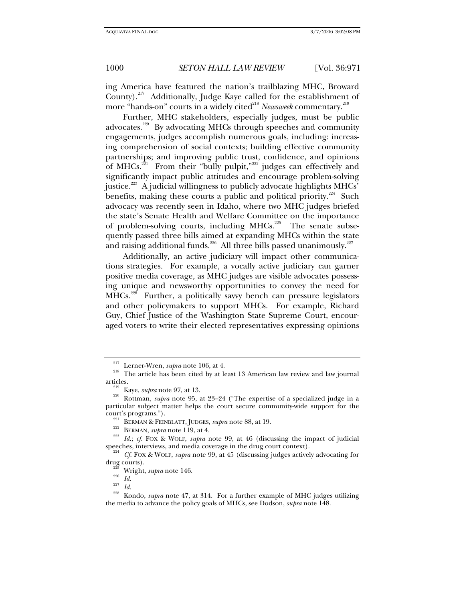ing America have featured the nation's trailblazing MHC, Broward County).<sup>217</sup> Additionally, Judge Kaye called for the establishment of more "hands-on" courts in a widely cited<sup>218</sup> Newsweek commentary.<sup>219</sup>

Further, MHC stakeholders, especially judges, must be public advocates.<sup>220</sup> By advocating MHCs through speeches and community engagements, judges accomplish numerous goals, including: increasing comprehension of social contexts; building effective community partnerships; and improving public trust, confidence, and opinions of MHCs. $^{221}$  From their "bully pulpit," $^{222}$  judges can effectively and significantly impact public attitudes and encourage problem-solving justice.<sup>223</sup> A judicial willingness to publicly advocate highlights MHCs' benefits, making these courts a public and political priority.<sup>224</sup> Such advocacy was recently seen in Idaho, where two MHC judges briefed the state's Senate Health and Welfare Committee on the importance of problem-solving courts, including  $MHCs$ <sup>225</sup> The senate subsequently passed three bills aimed at expanding MHCs within the state and raising additional funds.<sup>226</sup> All three bills passed unanimously.<sup>227</sup>

Additionally, an active judiciary will impact other communications strategies. For example, a vocally active judiciary can garner positive media coverage, as MHC judges are visible advocates possessing unique and newsworthy opportunities to convey the need for MHCs.<sup>228</sup> Further, a politically savvy bench can pressure legislators and other policymakers to support MHCs. For example, Richard Guy, Chief Justice of the Washington State Supreme Court, encouraged voters to write their elected representatives expressing opinions

<sup>&</sup>lt;sup>217</sup> Lerner-Wren, *supra* note 106, at 4.<br><sup>218</sup> The article has been cited by at least 13 American law review and law journal articles.

articles.<br><sup>219</sup> Kaye, *supra* note 97, at 13. 22-24 ("The expertise of a specialized judge in a<br><sup>220</sup> Rottman, *supra* note 95, at 23–24 ("The expertise of a specialized judge in a particular subject matter helps the court secure community-wide support for the

<sup>&</sup>lt;sup>221</sup> BERMAN & FEINBLATT, JUDGES, *supra* note 88, at 19.<br><sup>223</sup> BERMAN, *supra* note 119, at 4.<br><sup>223</sup> *Id.*; *cf.* FOX & WOLF, *supra* note 99, at 46 (discussing the impact of judicial speeches, interviews, and media cover

<sup>&</sup>lt;sup>224</sup> Cf. FOX & WOLF, *supra* note 99, at 45 (discussing judges actively advocating for drug courts).<br><sup>225</sup> Wright, *supra* note 146.<br><sup>226</sup> *Id.* <sup>227</sup> *Id.* 228 Kondo, *supra* note 47, at 314. For a further example of MHC judges utilizing

the media to advance the policy goals of MHCs, see Dodson, *supra* note 148.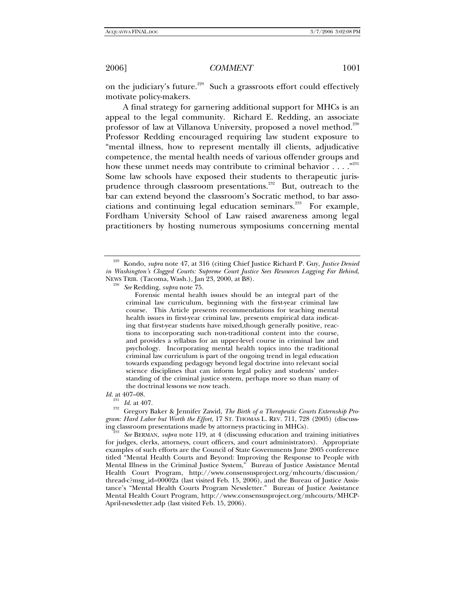on the judiciary's future.<sup>229</sup> Such a grassroots effort could effectively motivate policy-makers.

A final strategy for garnering additional support for MHCs is an appeal to the legal community. Richard E. Redding, an associate professor of law at Villanova University, proposed a novel method.<sup>230</sup> Professor Redding encouraged requiring law student exposure to "mental illness, how to represent mentally ill clients, adjudicative competence, the mental health needs of various offender groups and how these unmet needs may contribute to criminal behavior  $\dots$ ."<sup>231</sup> Some law schools have exposed their students to therapeutic jurisprudence through classroom presentations.<sup>232</sup> But, outreach to the bar can extend beyond the classroom's Socratic method, to bar associations and continuing legal education seminars.<sup>233</sup> For example, Fordham University School of Law raised awareness among legal practitioners by hosting numerous symposiums concerning mental

 Forensic mental health issues should be an integral part of the criminal law curriculum, beginning with the first-year criminal law course. This Article presents recommendations for teaching mental health issues in first-year criminal law, presents empirical data indicating that first-year students have mixed, though generally positive, reactions to incorporating such non-traditional content into the course, and provides a syllabus for an upper-level course in criminal law and psychology. Incorporating mental health topics into the traditional criminal law curriculum is part of the ongoing trend in legal education towards expanding pedagogy beyond legal doctrine into relevant social science disciplines that can inform legal policy and students' understanding of the criminal justice system, perhaps more so than many of the doctrinal lessons we now teach.

*Id.* at 407–08.

<sup>231</sup> Id. at 407.<br><sup>232</sup> Gregory Baker & Jennifer Zawid, *The Birth of a Therapeutic Courts Externship Program: Hard Labor but Worth the Effort*, 17 ST. THOMAS L. REV. 711, 728 (2005) (discussing classroom presentations made by attorneys practicing in MHCs). 233 *See* BERMAN, *supra* note 119, at 4 (discussing education and training initiatives

for judges, clerks, attorneys, court officers, and court administrators). Appropriate examples of such efforts are the Council of State Governments June 2005 conference titled "Mental Health Courts and Beyond: Improving the Response to People with Mental Illness in the Criminal Justice System," Bureau of Justice Assistance Mental Health Court Program, http://www.consensusproject.org/mhcourts/discussion/ thread-c?msg\_id=00002a (last visited Feb. 15, 2006), and the Bureau of Justice Assistance's "Mental Health Courts Program Newsletter." Bureau of Justice Assistance Mental Health Court Program, http://www.consensusproject.org/mhcourts/MHCP-April-newsletter.adp (last visited Feb. 15, 2006).

<sup>229</sup> Kondo, *supra* note 47, at 316 (citing Chief Justice Richard P. Guy, *Justice Denied in Washington's Clogged Courts: Supreme Court Justice Sees Resources Lagging Far Behind*, NEWS TRIB. (Tacoma, Wash.), Jan 23, 2000, at B8). 230 *See* Redding, *supra* note 75.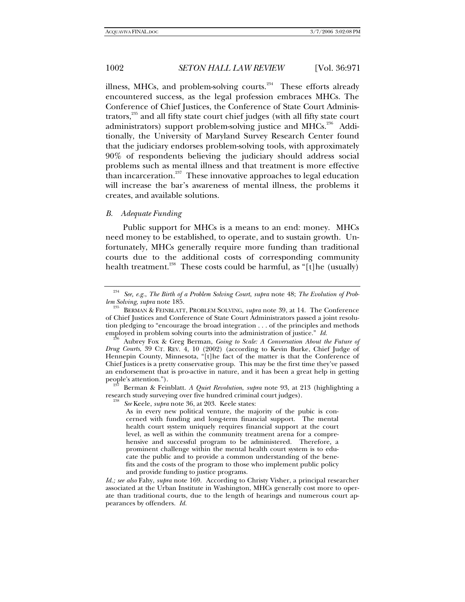illness, MHCs, and problem-solving courts. $234$  These efforts already encountered success, as the legal profession embraces MHCs. The Conference of Chief Justices, the Conference of State Court Administrators,<sup>235</sup> and all fifty state court chief judges (with all fifty state court administrators) support problem-solving justice and MHCs.<sup>236</sup> Additionally, the University of Maryland Survey Research Center found that the judiciary endorses problem-solving tools, with approximately 90% of respondents believing the judiciary should address social problems such as mental illness and that treatment is more effective than incarceration. $237$  These innovative approaches to legal education will increase the bar's awareness of mental illness, the problems it creates, and available solutions.

### *B. Adequate Funding*

Public support for MHCs is a means to an end: money. MHCs need money to be established, to operate, and to sustain growth. Unfortunately, MHCs generally require more funding than traditional courts due to the additional costs of corresponding community health treatment.<sup>238</sup> These costs could be harmful, as "[t]he (usually)

Berman & Feinblatt. *A Quiet Revolution*, *supra* note 93, at 213 (highlighting a research study surveying over five hundred criminal court judges). 238 *See* Keele, *supra* note 36, at 203. Keele states:

As in every new political venture, the majority of the pubic is concerned with funding and long-term financial support. The mental health court system uniquely requires financial support at the court level, as well as within the community treatment arena for a comprehensive and successful program to be administered. Therefore, a prominent challenge within the mental health court system is to educate the public and to provide a common understanding of the benefits and the costs of the program to those who implement public policy and provide funding to justice programs.

*Id.; see also* Fahy, *supra* note 169. According to Christy Visher, a principal researcher associated at the Urban Institute in Washington, MHCs generally cost more to operate than traditional courts, due to the length of hearings and numerous court appearances by offenders. *Id.* 

<sup>234</sup> *See, e.g.*, *The Birth of a Problem Solving Court*, *supra* note 48; *The Evolution of Prob-*

*lem Solving*, *supra* note 185. 235 BERMAN & FEINBLATT, PROBLEM SOLVING, *supra* note 39, at 14. The Conference of Chief Justices and Conference of State Court Administrators passed a joint resolution pledging to "encourage the broad integration  $\dots$  of the principles and methods employed in problem solving courts into the administration of justice." Id.

Aubrey Fox & Greg Berman, *Going to Scale: A Conversation About the Future of Drug Courts*, 39 CT. REV. 4, 10 (2002) (according to Kevin Burke, Chief Judge of Hennepin County, Minnesota, "[t]he fact of the matter is that the Conference of Chief Justices is a pretty conservative group. This may be the first time they've passed an endorsement that is pro-active in nature, and it has been a great help in getting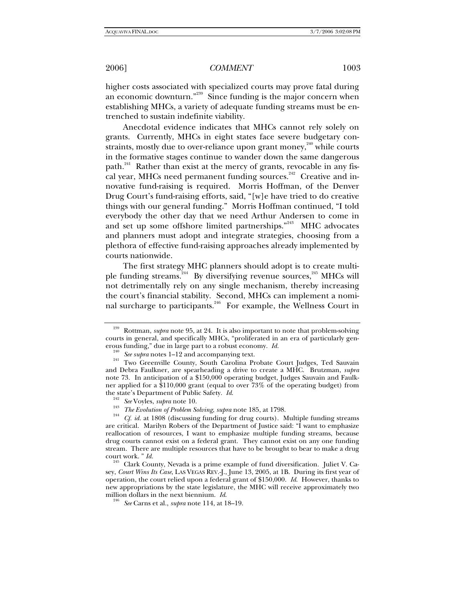higher costs associated with specialized courts may prove fatal during an economic downturn."<sup>239</sup> Since funding is the major concern when establishing MHCs, a variety of adequate funding streams must be entrenched to sustain indefinite viability.

Anecdotal evidence indicates that MHCs cannot rely solely on grants. Currently, MHCs in eight states face severe budgetary constraints, mostly due to over-reliance upon grant money, $^{240}$  while courts in the formative stages continue to wander down the same dangerous path.<sup>241</sup> Rather than exist at the mercy of grants, revocable in any fiscal year, MHCs need permanent funding sources.<sup>242</sup> Creative and innovative fund-raising is required. Morris Hoffman, of the Denver Drug Court's fund-raising efforts, said, "[w]e have tried to do creative things with our general funding." Morris Hoffman continued, "I told everybody the other day that we need Arthur Andersen to come in and set up some offshore limited partnerships."<sup>243</sup> MHC advocates and planners must adopt and integrate strategies, choosing from a plethora of effective fund-raising approaches already implemented by courts nationwide.

The first strategy MHC planners should adopt is to create multiple funding streams.<sup>244</sup> By diversifying revenue sources,<sup>245</sup> MHCs will not detrimentally rely on any single mechanism, thereby increasing the court's financial stability. Second, MHCs can implement a nominal surcharge to participants.246 For example, the Wellness Court in

Rottman, *supra* note 95, at 24. It is also important to note that problem-solving courts in general, and specifically MHCs, "proliferated in an era of particularly gen-

erous funding," due in large part to a robust economy. *Id.* <sup>240</sup> See supra notes 1–12 and accompanying text.<br><sup>241</sup> Two Greenville County, South Carolina Probate Court Judges, Ted Sauvain and Debra Faulkner, are spearheading a drive to create a MHC. Brutzman, *supra*  note 73. In anticipation of a \$150,000 operating budget, Judges Sauvain and Faulkner applied for a \$110,000 grant (equal to over  $73\%$  of the operating budget) from the state's Department of Public Safety. *Id.* 

<sup>&</sup>lt;sup>242</sup> See Voyles, *supra* note 10.<br><sup>243</sup> *The Evolution of Problem Solving, supra* note 185, at 1798.<br><sup>244</sup> *Cf. id.* at 1808 (discussing funding for drug courts). Multiple funding streams are critical. Marilyn Robers of the Department of Justice said: "I want to emphasize reallocation of resources, I want to emphasize multiple funding streams, because drug courts cannot exist on a federal grant. They cannot exist on any one funding stream. There are multiple resources that have to be brought to bear to make a drug court work. " *Id.* 245 Clark County, Nevada is a prime example of fund diversification. Juliet V. Ca-

sey, *Court Wins Its Case*, LAS VEGAS REV.-J., June 13, 2005, at 1B. During its first year of operation, the court relied upon a federal grant of \$150,000. *Id*. However, thanks to new appropriations by the state legislature, the MHC will receive approximately two million dollars in the next biennium. *Id*. 246 *See* Carns et al., *supra* note 114, at 18–19.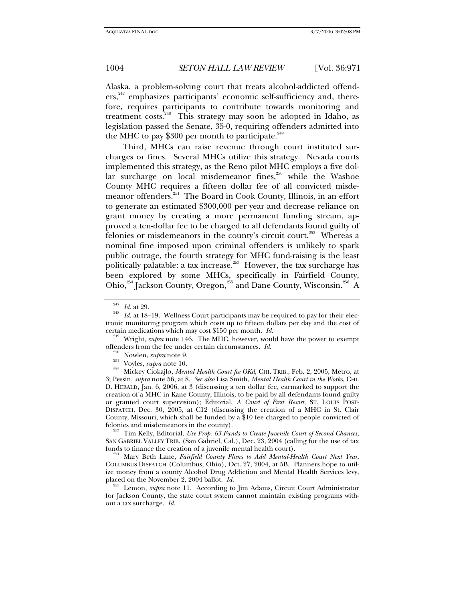Alaska, a problem-solving court that treats alcohol-addicted offenders,<sup>247</sup> emphasizes participants' economic self-sufficiency and, therefore, requires participants to contribute towards monitoring and treatment costs.<sup>248</sup> This strategy may soon be adopted in Idaho, as legislation passed the Senate, 35-0, requiring offenders admitted into the MHC to pay  $$300$  per month to participate.<sup>249</sup>

Third, MHCs can raise revenue through court instituted surcharges or fines. Several MHCs utilize this strategy. Nevada courts implemented this strategy, as the Reno pilot MHC employs a five dollar surcharge on local misdemeanor fines,<sup>250</sup> while the Washoe County MHC requires a fifteen dollar fee of all convicted misdemeanor offenders.<sup>251</sup> The Board in Cook County, Illinois, in an effort to generate an estimated \$300,000 per year and decrease reliance on grant money by creating a more permanent funding stream, approved a ten-dollar fee to be charged to all defendants found guilty of felonies or misdemeanors in the county's circuit court.<sup>252</sup> Whereas a nominal fine imposed upon criminal offenders is unlikely to spark public outrage, the fourth strategy for MHC fund-raising is the least politically palatable: a tax increase.<sup>253</sup> However, the tax surcharge has been explored by some MHCs, specifically in Fairfield County, Ohio,<sup>254</sup> Jackson County, Oregon,<sup>255</sup> and Dane County, Wisconsin.<sup>256</sup> A

<sup>250</sup> Nowlen, *supra* note 9.<br><sup>251</sup> Voyles, *supra* note 10.<br><sup>252</sup> Mickey Ciokajlo, *Mental Health Court fee OKd*, CHI. TRIB., Feb. 2, 2005, Metro, at 3; Pessin, *supra* note 56, at 8. *See also* Lisa Smith, *Mental Health Court in the Works*, CHI. D. HERALD, Jan. 6, 2006, at 3 (discussing a ten dollar fee, earmarked to support the creation of a MHC in Kane County, Illinois, to be paid by all defendants found guilty or granted court supervision); Editorial, *A Court of First Resort*, ST. LOUIS POST-DISPATCH, Dec. 30, 2005, at C12 (discussing the creation of a MHC in St. Clair County, Missouri, which shall be funded by a  $$10$  fee charged to people convicted of felonies and misdemeanors in the county).

<sup>253</sup> Tim Kelly, Editorial, *Use Prop. 63 Funds to Create Juvenile Court of Second Chances*, SAN GABRIEL VALLEY TRIB. (San Gabriel, Cal.), Dec. 23, 2004 (calling for the use of tax funds to finance the creation of a juvenile mental health court).

<sup>254</sup> Mary Beth Lane, *Fairfield County Plans to Add Mental-Health Court Next Year*, COLUMBUS DISPATCH (Columbus, Ohio), Oct. 27, 2004, at 5B. Planners hope to utilize money from a county Alcohol Drug Addiction and Mental Health Services levy, placed on the November  $2, 2004$  ballot.  $Id$ .

<sup>255</sup> Lemon, *supra* note 11. According to Jim Adams, Circuit Court Administrator for Jackson County, the state court system cannot maintain existing programs without a tax surcharge. *Id.*

<sup>&</sup>lt;sup>247</sup> *Id.* at 29.<br><sup>248</sup> *Id.* at 18–19. Wellness Court participants may be required to pay for their electronic monitoring program which costs up to fifteen dollars per day and the cost of certain medications which may cost  $$150$  per month. *Id*.

<sup>&</sup>lt;sup>249</sup> Wright, *supra* note 146. The MHC, however, would have the power to exempt offenders from the fee under certain circumstances. *Id.*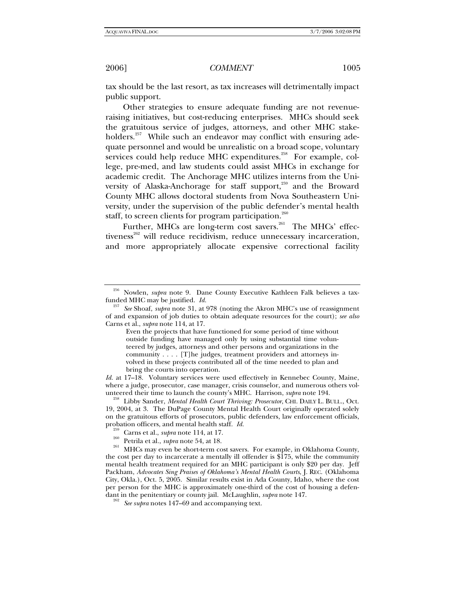tax should be the last resort, as tax increases will detrimentally impact public support.

Other strategies to ensure adequate funding are not revenueraising initiatives, but cost-reducing enterprises. MHCs should seek the gratuitous service of judges, attorneys, and other MHC stakeholders.<sup>257</sup> While such an endeavor may conflict with ensuring adequate personnel and would be unrealistic on a broad scope, voluntary services could help reduce MHC expenditures.<sup>258</sup> For example, college, pre-med, and law students could assist MHCs in exchange for academic credit. The Anchorage MHC utilizes interns from the University of Alaska-Anchorage for staff support,<sup>259</sup> and the Broward County MHC allows doctoral students from Nova Southeastern University, under the supervision of the public defender's mental health staff, to screen clients for program participation.<sup>260</sup>

Further, MHCs are long-term cost savers.<sup>261</sup> The MHCs' effectiveness<sup>262</sup> will reduce recidivism, reduce unnecessary incarceration, and more appropriately allocate expensive correctional facility

*Id.* at 17–18. Voluntary services were used effectively in Kennebec County, Maine, where a judge, prosecutor, case manager, crisis counselor, and numerous others volunteered their time to launch the county's MHC. Harrison, *supra* note 194.

<sup>256</sup> Nowlen, *supra* note 9. Dane County Executive Kathleen Falk believes a tax-

funded MHC may be justified. *Id.* <sup>257</sup> *See* Shoaf, *supra* note 31, at 978 (noting the Akron MHC's use of reassignment of and expansion of job duties to obtain adequate resources for the court); *see also*  Carns et al., *supra* note 114, at 17.

Even the projects that have functioned for some period of time without outside funding have managed only by using substantial time volunteered by judges, attorneys and other persons and organizations in the community . . . . [T]he judges, treatment providers and attorneys involved in these projects contributed all of the time needed to plan and bring the courts into operation.

<sup>&</sup>lt;sup>258</sup> Libby Sander, *Mental Health Court Thriving: Prosecutor*, CHI. DAILY L. BULL., Oct. 19, 2004, at 3. The DuPage County Mental Health Court originally operated solely on the gratuitous efforts of prosecutors, public defenders, law enforcement officials, probation officers, and mental health staff. *Id.*<br><sup>259</sup> Carns et al., *supra* note 114, at 17.<br><sup>260</sup> Petrila et al., *supra* note 54, at 18.<br><sup>261</sup> MHCs may even be short-term cost savers. For example, in Oklahoma County,

the cost per day to incarcerate a mentally ill offender is \$175, while the community mental health treatment required for an MHC participant is only \$20 per day. Jeff Packham, *Advocates Sing Praises of Oklahoma's Mental Health Courts*, J. REC. (Oklahoma City, Okla.), Oct. 5, 2005. Similar results exist in Ada County, Idaho, where the cost per person for the MHC is approximately one-third of the cost of housing a defendant in the penitentiary or county jail. McLaughlin, *supra* note 147. 262 *See supra* notes 147–69 and accompanying text.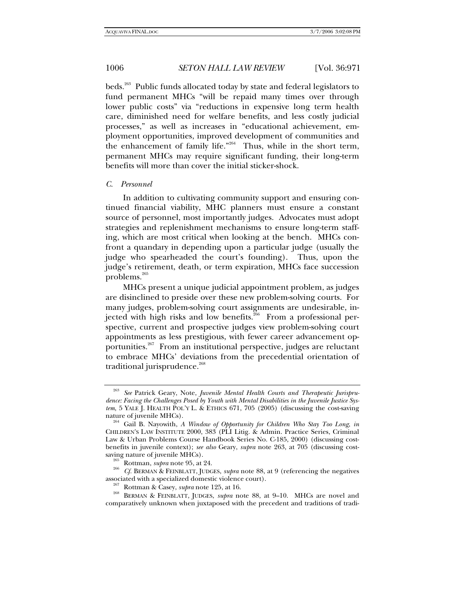beds.<sup>263</sup> Public funds allocated today by state and federal legislators to fund permanent MHCs "will be repaid many times over through lower public costs" via "reductions in expensive long term health care, diminished need for welfare benefits, and less costly judicial processes," as well as increases in "educational achievement, employment opportunities, improved development of communities and the enhancement of family life."<sup>264</sup> Thus, while in the short term, permanent MHCs may require significant funding, their long-term benefits will more than cover the initial sticker-shock.

## *C. Personnel*

In addition to cultivating community support and ensuring continued financial viability, MHC planners must ensure a constant source of personnel, most importantly judges. Advocates must adopt strategies and replenishment mechanisms to ensure long-term staffing, which are most critical when looking at the bench. MHCs confront a quandary in depending upon a particular judge (usually the judge who spearheaded the court's founding). Thus, upon the judge's retirement, death, or term expiration, MHCs face succession problems.<sup>265</sup>

MHCs present a unique judicial appointment problem, as judges are disinclined to preside over these new problem-solving courts. For many judges, problem-solving court assignments are undesirable, injected with high risks and low benefits.<sup>266</sup> From a professional perspective, current and prospective judges view problem-solving court appointments as less prestigious, with fewer career advancement opportunities.<sup>267</sup> From an institutional perspective, judges are reluctant to embrace MHCs' deviations from the precedential orientation of traditional jurisprudence.<sup>268</sup>

See Patrick Geary, Note, Juvenile Mental Health Courts and Therapeutic Jurispru*dence: Facing the Challenges Posed by Youth with Mental Disabilities in the Juvenile Justice System*, 5 YALE J. HEALTH POL'Y L. & ETHICS 671, 705 (2005) (discussing the cost-saving nature of juvenile MHCs).

<sup>&</sup>lt;sup>264</sup> Gail B. Nayowith, *A Window of Opportunity for Children Who Stay Too Long*, *in* CHILDREN'S LAW INSTITUTE 2000, 383 (PLI Litig. & Admin. Practice Series, Criminal Law & Urban Problems Course Handbook Series No. C-185, 2000) (discussing costbenefits in juvenile context); *see also* Geary, *supra* note 263, at 705 (discussing cost-

saving nature of juvenile MHCs).<br><sup>265</sup> Rottman, *supra* note 95, at 24.<br><sup>266</sup> *Cf.* BERMAN & FEINBLATT, JUDGES, *supra* note 88, at 9 (referencing the negatives associated with a specialized domestic violence court).

<sup>&</sup>lt;sup>267</sup> Rottman & Casey, *supra* note 125, at 16. 268 BERMAN & FEINBLATT, JUDGES, *supra* note 88, at 9–10. MHCs are novel and comparatively unknown when juxtaposed with the precedent and traditions of tradi-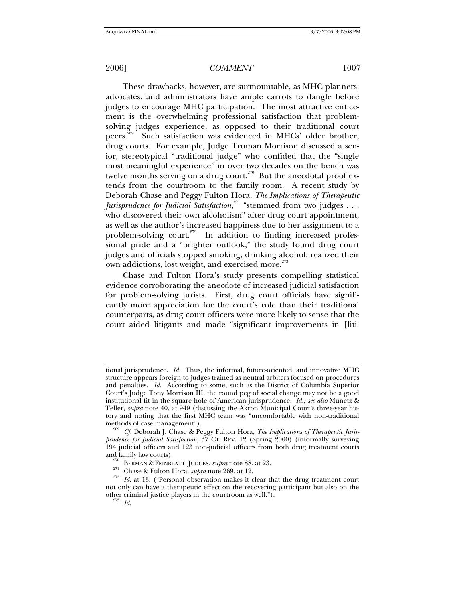These drawbacks, however, are surmountable, as MHC planners, advocates, and administrators have ample carrots to dangle before judges to encourage MHC participation. The most attractive enticement is the overwhelming professional satisfaction that problemsolving judges experience, as opposed to their traditional court peers.269 Such satisfaction was evidenced in MHCs' older brother, drug courts. For example, Judge Truman Morrison discussed a senior, stereotypical "traditional judge" who confided that the "single most meaningful experience" in over two decades on the bench was twelve months serving on a drug court.<sup>270</sup> But the anecdotal proof extends from the courtroom to the family room. A recent study by Deborah Chase and Peggy Fulton Hora, *The Implications of Therapeutic Jurisprudence for Judicial Satisfaction*, 271 "stemmed from two judges . . . who discovered their own alcoholism" after drug court appointment, as well as the author's increased happiness due to her assignment to a problem-solving court.<sup>272</sup> In addition to finding increased professional pride and a "brighter outlook," the study found drug court judges and officials stopped smoking, drinking alcohol, realized their own addictions, lost weight, and exercised more.<sup>273</sup>

Chase and Fulton Hora's study presents compelling statistical evidence corroborating the anecdote of increased judicial satisfaction for problem-solving jurists. First, drug court officials have significantly more appreciation for the court's role than their traditional counterparts, as drug court officers were more likely to sense that the court aided litigants and made "significant improvements in [liti-

tional jurisprudence. *Id.* Thus, the informal, future-oriented, and innovative MHC structure appears foreign to judges trained as neutral arbiters focused on procedures and penalties. *Id.* According to some, such as the District of Columbia Superior Court's Judge Tony Morrison III, the round peg of social change may not be a good institutional fit in the square hole of American jurisprudence. *Id.; see also* Munetz & Teller, *supra* note 40, at 949 (discussing the Akron Municipal Court's three-year history and noting that the first MHC team was "uncomfortable with non-traditional methods of case management").<br><sup>269</sup> Cf. Deborah J. Chase & Peggy Fulton Hora, *The Implications of Therapeutic Juris-*

*prudence for Judicial Satisfaction*, 37 CT. REV. 12 (Spring 2000) (informally surveying 194 judicial officers and 123 non-judicial officers from both drug treatment courts

<sup>&</sup>lt;sup>270</sup> BERMAN & FEINBLATT, JUDGES, *supra* note 88, at 23.<br><sup>271</sup> Chase & Fulton Hora, *supra* note 269, at 12.<br><sup>272</sup> Id. at 13. ("Personal observation makes it clear that the drug treatment court not only can have a therapeutic effect on the recovering participant but also on the other criminal justice players in the courtroom as well."). <sup>273</sup> *Id.*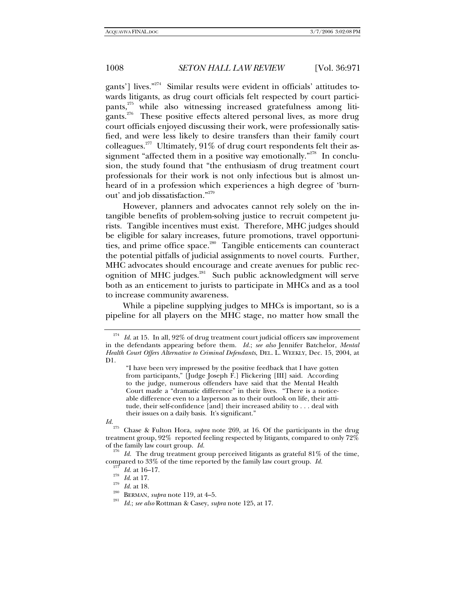gants'] lives."<sup>274</sup> Similar results were evident in officials' attitudes towards litigants, as drug court officials felt respected by court participants,<sup>275</sup> while also witnessing increased gratefulness among litigants.<sup>276</sup> These positive effects altered personal lives, as more drug court officials enjoyed discussing their work, were professionally satisfied, and were less likely to desire transfers than their family court colleagues.<sup>277</sup> Ultimately, 91% of drug court respondents felt their assignment "affected them in a positive way emotionally."<sup>278</sup> In conclusion, the study found that "the enthusiasm of drug treatment court professionals for their work is not only infectious but is almost unheard of in a profession which experiences a high degree of 'burnout' and job dissatisfaction."279

However, planners and advocates cannot rely solely on the intangible benefits of problem-solving justice to recruit competent jurists. Tangible incentives must exist. Therefore, MHC judges should be eligible for salary increases, future promotions, travel opportunities, and prime office space.<sup>280</sup> Tangible enticements can counteract the potential pitfalls of judicial assignments to novel courts. Further, MHC advocates should encourage and create avenues for public recognition of MHC judges.<sup>281</sup> Such public acknowledgment will serve both as an enticement to jurists to participate in MHCs and as a tool to increase community awareness.

While a pipeline supplying judges to MHCs is important, so is a pipeline for all players on the MHC stage, no matter how small the

Id. at 15. In all, 92% of drug treatment court judicial officers saw improvement in the defendants appearing before them. *Id.*; *see also* Jennifer Batchelor, *Mental Health Court Offers Alternative to Criminal Defendants*, DEL. L. WEEKLY, Dec. 15, 2004, at D1.

<sup>&</sup>quot;I have been very impressed by the positive feedback that I have gotten from participants," [Judge Joseph F.] Flickering [III] said. According to the judge, numerous offenders have said that the Mental Health Court made a "dramatic difference" in their lives. "There is a noticeable difference even to a layperson as to their outlook on life, their attitude, their self-confidence [and] their increased ability to . . . deal with their issues on a daily basis. It's significant."

*Id.*<br><sup>275</sup> Chase & Fulton Hora, *supra* note 269, at 16. Of the participants in the drug treatment group,  $92\%$  reported feeling respected by litigants, compared to only  $72\%$  of the family law court group. *Id*.

<sup>&</sup>lt;sup>276</sup> Id. The drug treatment group perceived litigants as grateful 81% of the time, compared to 33% of the time reported by the family law court group. Id.

<sup>&</sup>lt;sup>277</sup> Id. at 16–17.<br>
<sup>278</sup> Id. at 17.<br>
<sup>279</sup> Id. at 18.<br>
<sup>280</sup> BERMAN, *supra* note 119, at 4–5.<br>
<sup>281</sup> Id.; *see also* Rottman & Casey, *supra* note 125, at 17.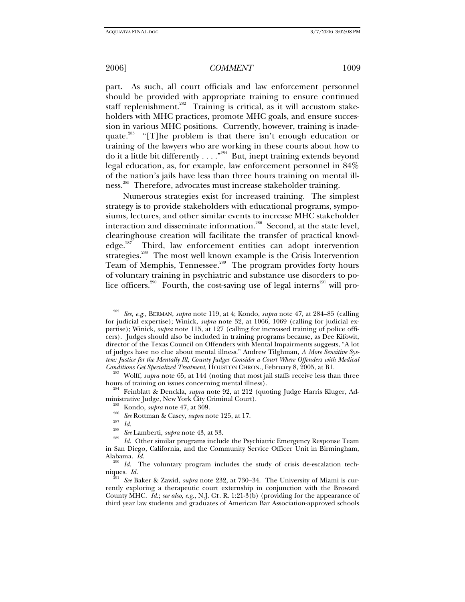part. As such, all court officials and law enforcement personnel should be provided with appropriate training to ensure continued staff replenishment.<sup>282</sup> Training is critical, as it will accustom stakeholders with MHC practices, promote MHC goals, and ensure succession in various MHC positions. Currently, however, training is inadequate.<sup>283</sup> "[T]he problem is that there isn't enough education or training of the lawyers who are working in these courts about how to do it a little bit differently  $\dots$ ."<sup>284</sup> But, inept training extends beyond legal education, as, for example, law enforcement personnel in 84% of the nation's jails have less than three hours training on mental illness.<sup>285</sup> Therefore, advocates must increase stakeholder training.

Numerous strategies exist for increased training. The simplest strategy is to provide stakeholders with educational programs, symposiums, lectures, and other similar events to increase MHC stakeholder interaction and disseminate information.<sup>286</sup> Second, at the state level, clearinghouse creation will facilitate the transfer of practical knowledge.<sup>287</sup> Third, law enforcement entities can adopt intervention strategies.<sup>288</sup> The most well known example is the Crisis Intervention Team of Memphis, Tennessee.<sup>289</sup> The program provides forty hours of voluntary training in psychiatric and substance use disorders to police officers.<sup>290</sup> Fourth, the cost-saving use of legal interns<sup>291</sup> will pro-

<sup>284</sup> Feinblatt & Denckla, *supra* note 92, at 212 (quoting Judge Harris Kluger, Administrative Judge, New York City Criminal Court).

<sup>282</sup> *See, e.g.*, BERMAN, *supra* note 119, at 4; Kondo, *supra* note 47, at 284–85 (calling for judicial expertise); Winick, *supra* note 32, at 1066, 1069 (calling for judicial expertise); Winick, *supra* note 115, at 127 (calling for increased training of police officers). Judges should also be included in training programs because, as Dee Kifowit, director of the Texas Council on Offenders with Mental Impairments suggests, "A lot of judges have no clue about mental illness." Andrew Tilghman, *A More Sensitive System: Justice for the Mentally Ill; County Judges Consider a Court Where Offenders with Medical* 

<sup>&</sup>lt;sup>283</sup> Wolff, *supra* note 65, at 144 (noting that most jail staffs receive less than three hours of training on issues concerning mental illness).

<sup>&</sup>lt;sup>285</sup> Kondo, *supra* note 47, at 309.<br><sup>286</sup> See Rottman & Casey, *supra* note 125, at 17.<br><sup>287</sup> Id. See Lamberti, *supra* note 43, at 33.<br><sup>288</sup> Id. Other similar programs include the Psychiatric Emergency Response Team in San Diego, California, and the Community Service Officer Unit in Birmingham,

Alabama. *Id.* <sup>290</sup> *Id.* The voluntary program includes the study of crisis de-escalation techniques. *Id.* 

See Baker & Zawid, *supra* note 232, at 730–34. The University of Miami is currently exploring a therapeutic court externship in conjunction with the Broward County MHC. *Id.*; *see also, e.g.*, N.J. CT. R. 1:21-3(b) (providing for the appearance of third year law students and graduates of American Bar Association-approved schools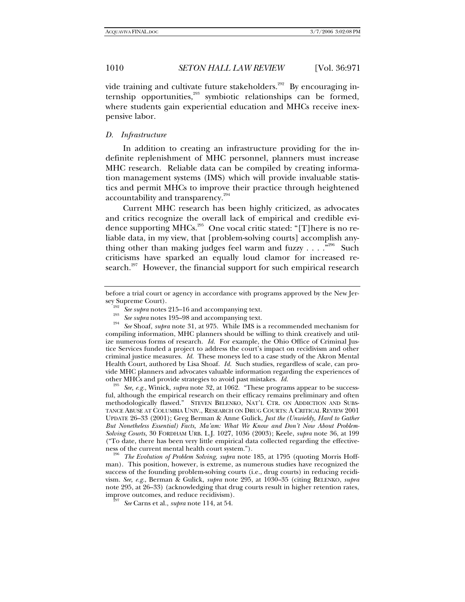vide training and cultivate future stakeholders.<sup>292</sup> By encouraging internship opportunities,<sup>293</sup> symbiotic relationships can be formed, where students gain experiential education and MHCs receive inexpensive labor.

### *D. Infrastructure*

In addition to creating an infrastructure providing for the indefinite replenishment of MHC personnel, planners must increase MHC research. Reliable data can be compiled by creating information management systems (IMS) which will provide invaluable statistics and permit MHCs to improve their practice through heightened accountability and transparency.<sup>294</sup>

Current MHC research has been highly criticized, as advocates and critics recognize the overall lack of empirical and credible evidence supporting MHCs.<sup>295</sup> One vocal critic stated: "[T]here is no reliable data, in my view, that [problem-solving courts] accomplish anything other than making judges feel warm and fuzzy  $\ldots$ .  $\cdot^{296}$  Such criticisms have sparked an equally loud clamor for increased research.<sup>297</sup> However, the financial support for such empirical research

See, e.g., Winick, *supra* note 32, at 1062. "These programs appear to be successful, although the empirical research on their efficacy remains preliminary and often methodologically flawed." STEVEN BELENKO, NAT'L CTR. ON ADDICTION AND SUBS-TANCE ABUSE AT COLUMBIA UNIV., RESEARCH ON DRUG COURTS: A CRITICAL REVIEW 2001 UPDATE 26–33 (2001); Greg Berman & Anne Gulick, *Just the (Unwieldy, Hard to Gather But Nonetheless Essential) Facts, Ma'am: What We Know and Don't Now About Problem-Solving Courts*, 30 FORDHAM URB. L.J. 1027, 1036 (2003); Keele, *supra* note 36, at 199 ("To date, there has been very little empirical data collected regarding the effective-

ness of the current mental health court system."). 296 *The Evolution of Problem Solving*, *supra* note 185, at 1795 (quoting Morris Hoffman). This position, however, is extreme, as numerous studies have recognized the success of the founding problem-solving courts (i.e., drug courts) in reducing recidivism. *See, e.g.*, Berman & Gulick, *supra* note 295, at 1030–35 (citing BELENKO, *supra*  note 295, at 26–33) (acknowledging that drug courts result in higher retention rates, improve outcomes, and reduce recidivism). 297 *See* Carns et al., *supra* note 114, at 54.

before a trial court or agency in accordance with programs approved by the New Jersey Supreme Court).

<sup>&</sup>lt;sup>292</sup> See supra notes 215–16 and accompanying text.<br><sup>293</sup> See supra notes 195–98 and accompanying text.<br><sup>294</sup> See Shoaf, *supra* note 31, at 975. While IMS is a recommended mechanism for compiling information, MHC planners should be willing to think creatively and utilize numerous forms of research. *Id.* For example, the Ohio Office of Criminal Justice Services funded a project to address the court's impact on recidivism and other criminal justice measures. *Id.* These moneys led to a case study of the Akron Mental Health Court, authored by Lisa Shoaf. *Id.* Such studies, regardless of scale, can provide MHC planners and advocates valuable information regarding the experiences of other MHCs and provide strategies to avoid past mistakes.  $Id$ .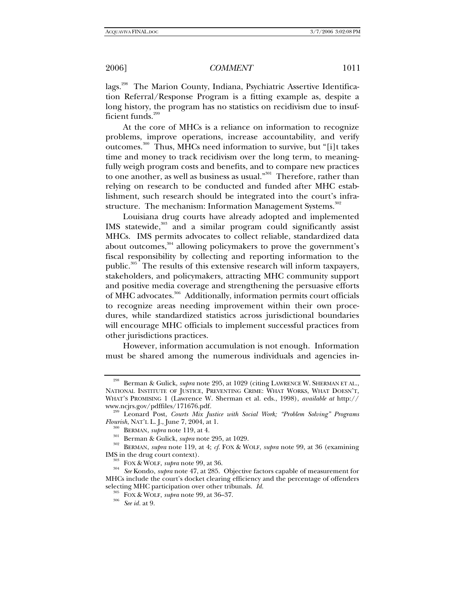lags.<sup>298</sup> The Marion County, Indiana, Psychiatric Assertive Identification Referral/Response Program is a fitting example as, despite a long history, the program has no statistics on recidivism due to insufficient funds.<sup>299</sup>

At the core of MHCs is a reliance on information to recognize problems, improve operations, increase accountability, and verify outcomes.300 Thus, MHCs need information to survive, but "[i]t takes time and money to track recidivism over the long term, to meaningfully weigh program costs and benefits, and to compare new practices to one another, as well as business as usual."<sup>301</sup> Therefore, rather than relying on research to be conducted and funded after MHC establishment, such research should be integrated into the court's infrastructure. The mechanism: Information Management Systems.<sup>302</sup>

Louisiana drug courts have already adopted and implemented IMS statewide, $303$  and a similar program could significantly assist MHCs. IMS permits advocates to collect reliable, standardized data about outcomes, $304$  allowing policymakers to prove the government's fiscal responsibility by collecting and reporting information to the public.<sup>305</sup> The results of this extensive research will inform taxpayers, stakeholders, and policymakers, attracting MHC community support and positive media coverage and strengthening the persuasive efforts of MHC advocates.<sup>306</sup> Additionally, information permits court officials to recognize areas needing improvement within their own procedures, while standardized statistics across jurisdictional boundaries will encourage MHC officials to implement successful practices from other jurisdictions practices.

However, information accumulation is not enough. Information must be shared among the numerous individuals and agencies in-

<sup>298</sup> Berman & Gulick, *supra* note 295, at 1029 (citing LAWRENCE W. SHERMAN ET AL., NATIONAL INSTITUTE OF JUSTICE, PREVENTING CRIME: WHAT WORKS, WHAT DOESN'T, WHAT'S PROMISING 1 (Lawrence W. Sherman et al. eds., 1998), *available at* http://

<sup>&</sup>lt;sup>299</sup> Leonard Post, *Courts Mix Justice with Social Work; "Problem Solving" Programs Flourish*, NAT'L L. J., June 7, 2004, at 1.

<sup>&</sup>lt;sup>300</sup> BERMAN, *supra* note 119, at 4.<br><sup>301</sup> Berman & Gulick, *supra* note 295, at 1029.<br><sup>302</sup> BERMAN, *supra* note 119, at 4; *cf.* FOX & WOLF, *supra* note 99, at 36 (examining IMS in the drug court context).

<sup>&</sup>lt;sup>303</sup> FOX & WOLF, *supra* note 99, at 36.<br><sup>304</sup> See Kondo, *supra* note 47, at 285. Objective factors capable of measurement for MHCs include the court's docket clearing efficiency and the percentage of offenders selecting MHC participation over other tribunals. *Id.* 305 FOX & WOLF, *supra* note 99, at 36–37. 306 *See id.* at 9.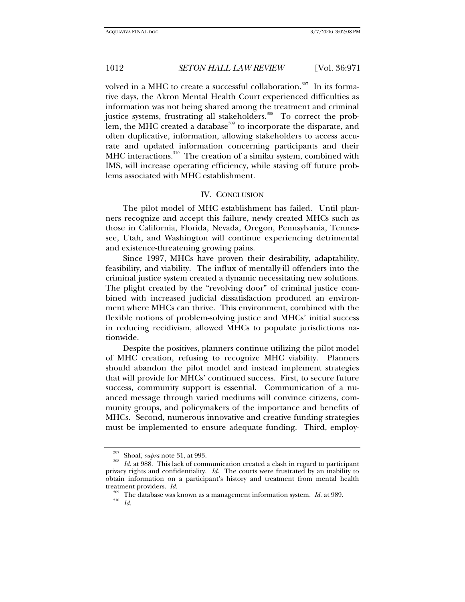volved in a MHC to create a successful collaboration.<sup>307</sup> In its formative days, the Akron Mental Health Court experienced difficulties as information was not being shared among the treatment and criminal justice systems, frustrating all stakeholders.<sup>308</sup> To correct the problem, the MHC created a database<sup>309</sup> to incorporate the disparate, and often duplicative, information, allowing stakeholders to access accurate and updated information concerning participants and their MHC interactions.<sup>310</sup> The creation of a similar system, combined with IMS, will increase operating efficiency, while staving off future problems associated with MHC establishment.

### IV. CONCLUSION

The pilot model of MHC establishment has failed. Until planners recognize and accept this failure, newly created MHCs such as those in California, Florida, Nevada, Oregon, Pennsylvania, Tennessee, Utah, and Washington will continue experiencing detrimental and existence-threatening growing pains.

Since 1997, MHCs have proven their desirability, adaptability, feasibility, and viability. The influx of mentally-ill offenders into the criminal justice system created a dynamic necessitating new solutions. The plight created by the "revolving door" of criminal justice combined with increased judicial dissatisfaction produced an environment where MHCs can thrive. This environment, combined with the flexible notions of problem-solving justice and MHCs' initial success in reducing recidivism, allowed MHCs to populate jurisdictions nationwide.

Despite the positives, planners continue utilizing the pilot model of MHC creation, refusing to recognize MHC viability. Planners should abandon the pilot model and instead implement strategies that will provide for MHCs' continued success. First, to secure future success, community support is essential. Communication of a nuanced message through varied mediums will convince citizens, community groups, and policymakers of the importance and benefits of MHCs. Second, numerous innovative and creative funding strategies must be implemented to ensure adequate funding. Third, employ-

<sup>307</sup> Shoaf, *supra* note 31, at 993. 308 *Id.* at 988. This lack of communication created a clash in regard to participant privacy rights and confidentiality. *Id.* The courts were frustrated by an inability to obtain information on a participant's history and treatment from mental health

treatment providers. *Id.* <sup>309</sup> The database was known as a management information system. *Id.* at 989. *Id.*